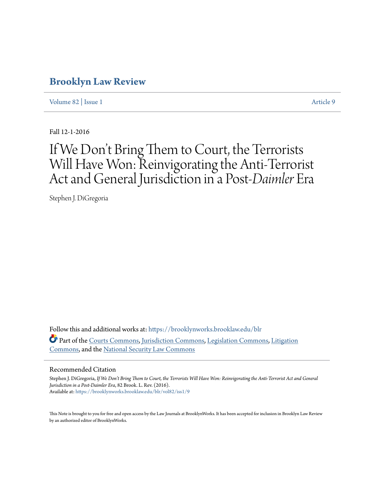# **[Brooklyn Law Review](https://brooklynworks.brooklaw.edu/blr?utm_source=brooklynworks.brooklaw.edu%2Fblr%2Fvol82%2Fiss1%2F9&utm_medium=PDF&utm_campaign=PDFCoverPages)**

[Volume 82](https://brooklynworks.brooklaw.edu/blr/vol82?utm_source=brooklynworks.brooklaw.edu%2Fblr%2Fvol82%2Fiss1%2F9&utm_medium=PDF&utm_campaign=PDFCoverPages) | [Issue 1](https://brooklynworks.brooklaw.edu/blr/vol82/iss1?utm_source=brooklynworks.brooklaw.edu%2Fblr%2Fvol82%2Fiss1%2F9&utm_medium=PDF&utm_campaign=PDFCoverPages) [Article 9](https://brooklynworks.brooklaw.edu/blr/vol82/iss1/9?utm_source=brooklynworks.brooklaw.edu%2Fblr%2Fvol82%2Fiss1%2F9&utm_medium=PDF&utm_campaign=PDFCoverPages)

Fall 12-1-2016

# If We Don 't Bring Them to Court, the Terrorists Will Have Won: Reinvigorating the Anti-Terrorist Act and General Jurisdiction in a Post-*Daimler* Era

Stephen J. DiGregoria

Follow this and additional works at: [https://brooklynworks.brooklaw.edu/blr](https://brooklynworks.brooklaw.edu/blr?utm_source=brooklynworks.brooklaw.edu%2Fblr%2Fvol82%2Fiss1%2F9&utm_medium=PDF&utm_campaign=PDFCoverPages) Part of the [Courts Commons](http://network.bepress.com/hgg/discipline/839?utm_source=brooklynworks.brooklaw.edu%2Fblr%2Fvol82%2Fiss1%2F9&utm_medium=PDF&utm_campaign=PDFCoverPages), [Jurisdiction Commons,](http://network.bepress.com/hgg/discipline/850?utm_source=brooklynworks.brooklaw.edu%2Fblr%2Fvol82%2Fiss1%2F9&utm_medium=PDF&utm_campaign=PDFCoverPages) [Legislation Commons](http://network.bepress.com/hgg/discipline/859?utm_source=brooklynworks.brooklaw.edu%2Fblr%2Fvol82%2Fiss1%2F9&utm_medium=PDF&utm_campaign=PDFCoverPages), [Litigation](http://network.bepress.com/hgg/discipline/910?utm_source=brooklynworks.brooklaw.edu%2Fblr%2Fvol82%2Fiss1%2F9&utm_medium=PDF&utm_campaign=PDFCoverPages) [Commons,](http://network.bepress.com/hgg/discipline/910?utm_source=brooklynworks.brooklaw.edu%2Fblr%2Fvol82%2Fiss1%2F9&utm_medium=PDF&utm_campaign=PDFCoverPages) and the [National Security Law Commons](http://network.bepress.com/hgg/discipline/1114?utm_source=brooklynworks.brooklaw.edu%2Fblr%2Fvol82%2Fiss1%2F9&utm_medium=PDF&utm_campaign=PDFCoverPages)

#### Recommended Citation

Stephen J. DiGregoria, *If We Don't Bring Them to Court, the Terrorists Will Have Won: Reinvigorating the Anti-Terrorist Act and General Jurisdiction in a Post-Daimler Era*, 82 Brook. L. Rev. (2016). Available at: [https://brooklynworks.brooklaw.edu/blr/vol82/iss1/9](https://brooklynworks.brooklaw.edu/blr/vol82/iss1/9?utm_source=brooklynworks.brooklaw.edu%2Fblr%2Fvol82%2Fiss1%2F9&utm_medium=PDF&utm_campaign=PDFCoverPages)

This Note is brought to you for free and open access by the Law Journals at BrooklynWorks. It has been accepted for inclusion in Brooklyn Law Review by an authorized editor of BrooklynWorks.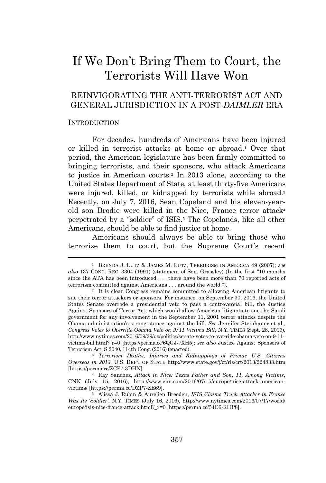# If We Don't Bring Them to Court, the Terrorists Will Have Won

# REINVIGORATING THE ANTI-TERRORIST ACT AND GENERAL JURISDICTION IN A POST-*DAIMLER* ERA

#### **INTRODUCTION**

For decades, hundreds of Americans have been injured or killed in terrorist attacks at home or abroad.<sup>1</sup> Over that period, the American legislature has been firmly committed to bringing terrorists, and their sponsors, who attack Americans to justice in American courts.<sup>2</sup> In 2013 alone, according to the United States Department of State, at least thirty-five Americans were injured, killed, or kidnapped by terrorists while abroad.<sup>3</sup> Recently, on July 7, 2016, Sean Copeland and his eleven-yearold son Brodie were killed in the Nice, France terror attack<sup>4</sup> perpetrated by a "soldier" of ISIS.<sup>5</sup> The Copelands, like all other Americans, should be able to find justice at home.

Americans should always be able to bring those who terrorize them to court, but the Supreme Court's recent

<sup>1</sup> BRENDA J. LUTZ & JAMES M. LUTZ, TERRORISM IN AMERICA 49 (2007); *see also* 137 CONG. REC. 3304 (1991) (statement of Sen. Grassley) (In the first "10 months since the ATA has been introduced. . . . there have been more than 70 reported acts of terrorism committed against Americans . . . around the world.").

<sup>2</sup> It is clear Congress remains committed to allowing American litigants to sue their terror attackers or sponsors. For instance, on September 30, 2016, the United States Senate overrode a presidential veto to pass a controversial bill, the Justice Against Sponsors of Terror Act, which would allow American litigants to sue the Saudi government for any involvement in the September 11, 2001 terror attacks despite the Obama administration's strong stance against the bill. *See* Jennifer Steinhauer et al., *Congress Votes to Override Obama Veto on 9/11 Victims Bill*, N.Y. TIMES (Sept. 28, 2016), http://www.nytimes.com/2016/09/29/us/politics/senate-votes-to-override-obama-veto-on-9-11 victims-bill.html?\_r=0 [https://perma.cc/6QGJ-7XH5]; *see also* Justice Against Sponsors of Terrorism Act, S 2040, 114th Cong. (2016) (enacted).

<sup>3</sup> *Terrorism Deaths, Injuries and Kidnappings of Private U.S. Citizens Overseas in 2013*, U.S. DEP'<sup>T</sup> OF STATE http://www.state.gov/j/ct/rls/crt/2013/224833.htm [https://perma.cc/ZCP7-3DHN].

<sup>4</sup> Ray Sanchez, *Attack in Nice: Texas Father and Son, 11, Among Victims*, CNN (July 15, 2016), http://www.cnn.com/2016/07/15/europe/nice-attack-americanvictims/ [https://perma.cc/DZP7-ZE69].

<sup>5</sup> Alissa J. Rubin & Aurelien Breeden, *ISIS Claims Truck Attacker in France Was Its 'Soldier'*, N.Y. TIMES (July 16, 2016), http://www.nytimes.com/2016/07/17/world/ europe/isis-nice-france-attack.html?\_r=0 [https://perma.cc/54E6-RHP8].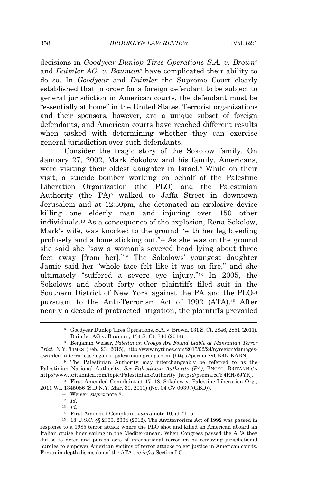decisions in *Goodyear Dunlop Tires Operations S.A. v. Brown*<sup>6</sup> and *Daimler AG. v. Bauman*<sup>7</sup> have complicated their ability to do so. In *Goodyear* and *Daimler* the Supreme Court clearly established that in order for a foreign defendant to be subject to general jurisdiction in American courts, the defendant must be "essentially at home" in the United States. Terrorist organizations and their sponsors, however, are a unique subset of foreign defendants, and American courts have reached different results when tasked with determining whether they can exercise general jurisdiction over such defendants.

Consider the tragic story of the Sokolow family. On January 27, 2002, Mark Sokolow and his family, Americans, were visiting their oldest daughter in Israel.<sup>8</sup> While on their visit, a suicide bomber working on behalf of the Palestine Liberation Organization (the PLO) and the Palestinian Authority (the PA)<sup>9</sup> walked to Jaffa Street in downtown Jerusalem and at 12:30pm, she detonated an explosive device killing one elderly man and injuring over 150 other individuals.<sup>10</sup> As a consequence of the explosion, Rena Sokolow, Mark's wife, was knocked to the ground "with her leg bleeding profusely and a bone sticking out." <sup>11</sup> As she was on the ground she said she "saw a woman's severed head lying about three feet away [from her]." <sup>12</sup> The Sokolows' youngest daughter Jamie said her "whole face felt like it was on fire," and she ultimately "suffered a severe eye injury." <sup>13</sup> In 2005, the Sokolows and about forty other plaintiffs filed suit in the Southern District of New York against the PA and the PLO<sup>14</sup> pursuant to the Anti-Terrorism Act of 1992 (ATA).<sup>15</sup> After nearly a decade of protracted litigation, the plaintiffs prevailed

<sup>6</sup> Goodyear Dunlop Tires Operations, S.A. v. Brown, 131 S. Ct. 2846, 2851 (2011).

<sup>7</sup> Daimler AG v. Bauman, 134 S. Ct. 746 (2014).

<sup>8</sup> Benjamin Weiser, *Palestinian Groups Are Found Liable at Manhattan Terror Trial*, N.Y. TIMES (Feb. 23, 2015), http://www.nytimes.com/2015/02/24/nyregion/damagesawarded-in-terror-case-against-palestinian-groups.html [https://perma.cc/UK4N-KABN].

<sup>9</sup> The Palestinian Authority may interchangeably be referred to as the Palestinian National Authority. *See Palestinian Authority (PA)*, ENCYC. BRITANNICA http://www.britannica.com/topic/Palestinian-Authority [https://perma.cc/F4RH-6JYR].

<sup>10</sup> First Amended Complaint at 17–18, Sokolow v. Palestine Liberation Org., 2011 WL 1345086 (S.D.N.Y. Mar. 30, 2011) (No. 04 CV 00397(GBD)).

<sup>11</sup> Weiser, *supra* note 8.

<sup>12</sup> *Id.*

<sup>13</sup> *Id.*

<sup>14</sup> First Amended Complaint, *supra* note 10, at \*1–5.

<sup>15</sup> 18 U.S.C. §§ 2333, 2334 (2012). The Antiterrorism Act of 1992 was passed in response to a 1985 terror attack where the PLO shot and killed an American aboard an Italian cruise liner sailing in the Mediterranean. When Congress passed the ATA they did so to deter and punish acts of international terrorism by removing jurisdictional hurdles to empower American victims of terror attacks to get justice in American courts. For an in-depth discussion of the ATA see *infra* Section I.C.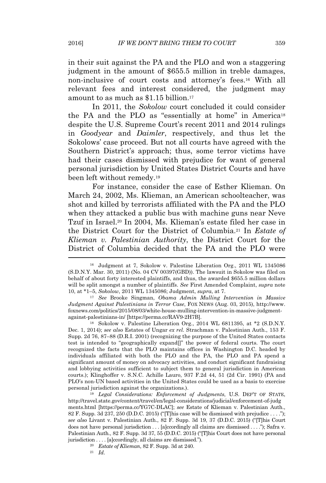in their suit against the PA and the PLO and won a staggering judgment in the amount of \$655.5 million in treble damages, non-inclusive of court costs and attorney's fees.<sup>16</sup> With all relevant fees and interest considered, the judgment may amount to as much as \$1.15 billion.<sup>17</sup>

In 2011, the *Sokolow* court concluded it could consider the PA and the PLO as "essentially at home" in America<sup>18</sup> despite the U.S. Supreme Court's recent 2011 and 2014 rulings in *Goodyear* and *Daimler*, respectively, and thus let the Sokolows' case proceed. But not all courts have agreed with the Southern District's approach; thus, some terror victims have had their cases dismissed with prejudice for want of general personal jurisdiction by United States District Courts and have been left without remedy.<sup>19</sup>

For instance, consider the case of Esther Klieman. On March 24, 2002, Ms. Klieman, an American schoolteacher, was shot and killed by terrorists affiliated with the PA and the PLO when they attacked a public bus with machine guns near Neve Tzuf in Israel.<sup>20</sup> In 2004, Ms. Klieman's estate filed her case in the District Court for the District of Columbia.<sup>21</sup> In *Estate of Klieman v. Palestinian Authority*, the District Court for the District of Columbia decided that the PA and the PLO were

<sup>17</sup> *See* Brooke Singman, *Obama Admin Mulling Intervention in Massive Judgment Against Palestinians in Terror Case*, FOX NEWS (Aug. 03, 2015), http://www. foxnews.com/politics/2015/08/03/white-house-mulling-intervention-in-massive-judgmentagainst-palestinians-in/ [https://perma.cc/RAV9-2H7B].

<sup>18</sup> Sokolow v. Palestine Liberation Org., 2014 WL 6811395, at \*2 (S.D.N.Y. Dec. 1, 2014); *see also* Estates of Ungar *ex rel.* Strachman v. Palestinian Auth., 153 F. Supp. 2d 76, 87–88 (D.R.I. 2001) (recognizing the purpose of the United States contacts test is intended to "geographically expand[]" the power of federal courts. The court recognized the facts that the PLO maintains offices in Washington D.C. headed by individuals affiliated with both the PLO and the PA, the PLO and PA spend a significant amount of money on advocacy activities, and conduct significant fundraising and lobbying activities sufficient to subject them to general jurisdiction in American courts.); Klinghoffer v. S.N.C. Achille Lauro, 937 F.2d 44, 51 (2d Cir. 1991) (PA and PLO's non-UN based activities in the United States could be used as a basis to exercise personal jurisdiction against the organizations.).

<sup>19</sup> *Legal Considerations: Enforcement of Judgments*, U.S. DEP'T OF STATE, http://travel.state.gov/content/travel/en/legal-considerations/judicial/enforcement-of-judg ments.html [https://perma.cc/YG7C-DLAC]; *see* Estate of Klieman v. Palestinian Auth., 82 F. Supp. 3d 237, 250 (D.D.C. 2015) ("[T]his case will be dismissed with prejudice  $\dots$ "); *see also* Livant v. Palestinian Auth., 82 F. Supp. 3d 19, 37 (D.D.C. 2015) ("[T]his Court does not have personal jurisdiction . . . [a]ccordingly all claims are dismissed . . . ."); Safra v. Palestinian Auth., 82 F. Supp. 3d 37, 55 (D.D.C. 2015) ("[T]his Court does not have personal jurisdiction . . . . [a]ccordingly, all claims are dismissed.").

<sup>20</sup> *Estate of Klieman*, 82 F. Supp. 3d at 240.

<sup>21</sup> *Id.*

<sup>16</sup> Judgment at 7, Sokolow v. Palestine Liberation Org., 2011 WL 1345086 (S.D.N.Y. Mar. 30, 2011) (No. 04 CV 00397(GBD)). The lawsuit in Sokolow was filed on behalf of about forty interested plaintiffs, and thus, the awarded \$655.5 million dollars will be split amongst a number of plaintiffs. *See* First Amended Complaint, *supra* note 10, at \*1–5, *Sokolow*, 2011 WL 1345086; Judgment, *supra*, at 7.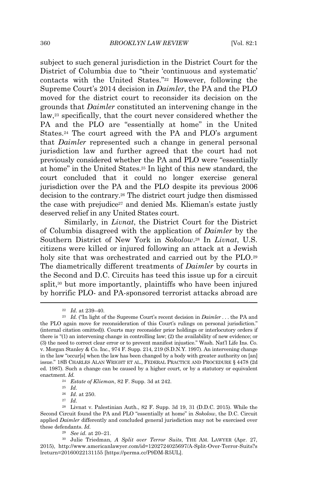subject to such general jurisdiction in the District Court for the District of Columbia due to "their 'continuous and systematic' contacts with the United States." <sup>22</sup> However, following the Supreme Court's 2014 decision in *Daimler*, the PA and the PLO moved for the district court to reconsider its decision on the grounds that *Daimler* constituted an intervening change in the law,<sup>23</sup> specifically, that the court never considered whether the PA and the PLO are "essentially at home" in the United States.<sup>24</sup> The court agreed with the PA and PLO's argument that *Daimler* represented such a change in general personal jurisdiction law and further agreed that the court had not previously considered whether the PA and PLO were "essentially at home" in the United States.<sup>25</sup> In light of this new standard, the court concluded that it could no longer exercise general jurisdiction over the PA and the PLO despite its previous 2006 decision to the contrary.<sup>26</sup> The district court judge then dismissed the case with prejudice<sup>27</sup> and denied Ms. Klieman's estate justly deserved relief in any United States court.

Similarly, in *Livnat*, the District Court for the District of Columbia disagreed with the application of *Daimler* by the Southern District of New York in *Sokolow*. <sup>28</sup> In *Livnat*, U.S. citizens were killed or injured following an attack at a Jewish holy site that was orchestrated and carried out by the PLO.<sup>29</sup> The diametrically different treatments of *Daimler* by courts in the Second and D.C. Circuits has teed this issue up for a circuit split,<sup>30</sup> but more importantly, plaintiffs who have been injured by horrific PLO- and PA-sponsored terrorist attacks abroad are

<sup>22</sup> *Id.* at 239–40*.*

<sup>23</sup> *Id.* ("In light of the Supreme Court's recent decision in *Daimler . . .* the PA and the PLO again move for reconsideration of this Court's rulings on personal jurisdiction." (internal citation omitted)). Courts may reconsider prior holdings or interlocutory orders if there is "(1) an intervening change in controlling law; (2) the availability of new evidence; or (3) the need to correct clear error or to prevent manifest injustice." Wash. Nat'l Life Ins. Co. v. Morgan Stanley & Co. Inc., 974 F. Supp. 214, 219 (S.D.N.Y. 1997). An intervening change in the law "occur[s] when the law has been changed by a body with greater authority on [an] issue." 18B CHARLES ALAN WRIGHT ET AL., FEDERAL PRACTICE AND PROCEDURE § 4478 (2d ed. 1987). Such a change can be caused by a higher court, or by a statutory or equivalent enactment. *Id.*

<sup>24</sup> *Estate of Klieman*, 82 F. Supp. 3d at 242.

<sup>25</sup> *Id.*

<sup>26</sup> *Id.* at 250.

<sup>27</sup> *Id.*

<sup>28</sup> Livnat v. Palestinian Auth., 82 F. Supp. 3d 19, 31 (D.D.C. 2015). While the Second Circuit found the PA and PLO "essentially at home" in *Sokolow*, the D.C. Circuit applied *Daimler* differently and concluded general jurisdiction may not be exercised over these defendants. *Id.*

<sup>29</sup> *See id.* at 20–21.

<sup>30</sup> Julie Triedman, *A Split over Terror Suits*, THE AM. LAWYER (Apr. 27, 2015), http://www.americanlawyer.com/id=1202724025697/A-Split-Over-Terror-Suits?s lreturn=20160022131155 [https://perma.cc/P9DM-R5UL].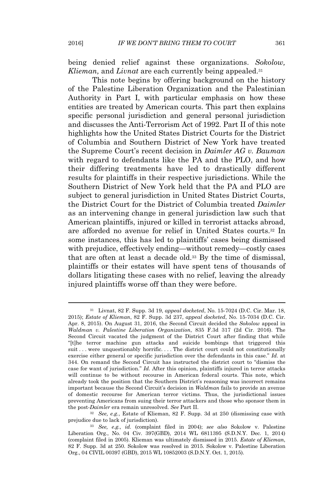being denied relief against these organizations. *Sokolow, Klieman,* and *Livnat* are each currently being appealed.<sup>31</sup>

This note begins by offering background on the history of the Palestine Liberation Organization and the Palestinian Authority in Part I, with particular emphasis on how these entities are treated by American courts. This part then explains specific personal jurisdiction and general personal jurisdiction and discusses the Anti-Terrorism Act of 1992. Part II of this note highlights how the United States District Courts for the District of Columbia and Southern District of New York have treated the Supreme Court's recent decision in *Daimler AG v. Bauman* with regard to defendants like the PA and the PLO, and how their differing treatments have led to drastically different results for plaintiffs in their respective jurisdictions. While the Southern District of New York held that the PA and PLO are subject to general jurisdiction in United States District Courts, the District Court for the District of Columbia treated *Daimler* as an intervening change in general jurisdiction law such that American plaintiffs, injured or killed in terrorist attacks abroad, are afforded no avenue for relief in United States courts.<sup>32</sup> In some instances, this has led to plaintiffs' cases being dismissed with prejudice, effectively ending—without remedy—costly cases that are often at least a decade old.<sup>33</sup> By the time of dismissal, plaintiffs or their estates will have spent tens of thousands of dollars litigating these cases with no relief, leaving the already injured plaintiffs worse off than they were before.

<sup>31</sup> Livnat, 82 F. Supp. 3d 19, *appeal docketed*, No. 15-7024 (D.C. Cir. Mar. 18, 2015); *Estate of Klieman*, 82 F. Supp. 3d 237, *appeal docketed*, No. 15-7034 (D.C. Cir. Apr. 8, 2015). On August 31, 2016, the Second Circuit decided the *Sokolow* appeal in *Waldman v. Palestine Liberation Organization*, 835 F.3d 317 (2d Cir. 2016). The Second Circuit vacated the judgment of the District Court after finding that while "[t]he terror machine gun attacks and suicide bombings that triggered this suit . . . were unquestionably horrific. . . . The district court could not constitutionally exercise either general or specific jurisdiction over the defendants in this case." *Id.* at 344. On remand the Second Circuit has instructed the district court to "dismiss the case for want of jurisdiction." *Id.* After this opinion, plaintiffs injured in terror attacks will continue to be without recourse in American federal courts. This note, which already took the position that the Southern District's reasoning was incorrect remains important because the Second Circuit's decision in *Waldman* fails to provide an avenue of domestic recourse for American terror victims. Thus, the jurisdictional issues preventing Americans from suing their terror attackers and those who sponsor them in the post-*Daimler* era remain unresolved. *See* Part II.

<sup>32</sup> *See, e.g.*, Estate of Klieman, 82 F. Supp. 3d at 250 (dismissing case with prejudice due to lack of jurisdiction).

<sup>33</sup> *See, e.g.*, *id.* (complaint filed in 2004); *see also* Sokolow v. Palestine Liberation Org., No. 04 Civ. 397(GBD), 2014 WL 6811395 (S.D.N.Y. Dec. 1, 2014) (complaint filed in 2005). Klieman was ultimately dismissed in 2015. *Estate of Klieman*, 82 F. Supp. 3d at 250. Sokolow was resolved in 2015. Sokolow v. Palestine Liberation Org., 04 CIVIL 00397 (GBD), 2015 WL 10852003 (S.D.N.Y. Oct. 1, 2015).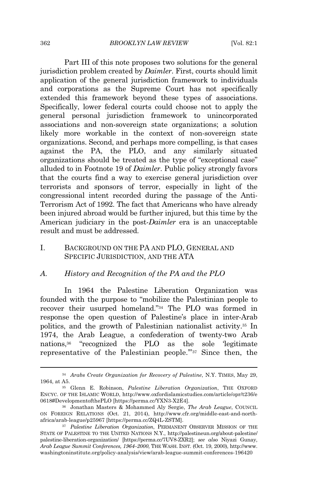Part III of this note proposes two solutions for the general jurisdiction problem created by *Daimler*. First, courts should limit application of the general jurisdiction framework to individuals and corporations as the Supreme Court has not specifically extended this framework beyond these types of associations. Specifically, lower federal courts could choose not to apply the general personal jurisdiction framework to unincorporated associations and non-sovereign state organizations; a solution likely more workable in the context of non-sovereign state organizations. Second, and perhaps more compelling, is that cases against the PA, the PLO, and any similarly situated organizations should be treated as the type of "exceptional case" alluded to in Footnote 19 of *Daimler*. Public policy strongly favors that the courts find a way to exercise general jurisdiction over terrorists and sponsors of terror, especially in light of the congressional intent recorded during the passage of the Anti-Terrorism Act of 1992. The fact that Americans who have already been injured abroad would be further injured, but this time by the American judiciary in the post-*Daimler* era is an unacceptable result and must be addressed.

# I. BACKGROUND ON THE PA AND PLO, GENERAL AND SPECIFIC JURISDICTION, AND THE ATA

#### *A. History and Recognition of the PA and the PLO*

In 1964 the Palestine Liberation Organization was founded with the purpose to "mobilize the Palestinian people to recover their usurped homeland." <sup>34</sup> The PLO was formed in response the open question of Palestine's place in inter-Arab politics, and the growth of Palestinian nationalist activity.<sup>35</sup> In 1974, the Arab League, a confederation of twenty-two Arab nations,<sup>36</sup> "recognized the PLO as the sole 'legitimate representative of the Palestinian people."<sup>37</sup> Since then, the

<sup>34</sup> *Arabs Create Organization for Recovery of Palestine*, N.Y. TIMES, May 29, 1964, at A5.

<sup>35</sup> Glenn E. Robinson, *Palestine Liberation Organization*, THE OXFORD ENCYC. OF THE ISLAMIC WORLD, http://www.oxfordislamicstudies.com/article/opr/t236/e 0618#DevelopmentofthePLO [https://perma.cc/YXN3-X2E4].

<sup>36</sup> Jonathan Masters & Mohammed Aly Sergie, *The Arab League*, COUNCIL ON FOREIGN RELATIONS (Oct. 21, 2014), http://www.cfr.org/middle-east-and-northafrica/arab-league/p25967 [https://perma.cc/ZQ4L-ZSTM].

<sup>&</sup>lt;sup>37</sup> Palestine Liberation Organization, PERMANENT OBSERVER MISSION OF THE STATE OF PALESTINE TO THE UNITED NATIONS N.Y., http://palestineun.org/about-palestine/ palestine-liberation-organization/ [https://perma.cc/7UV8-ZXR2]; *see also* Niyazi Gunay, *Arab League Summit Conferences, 1964–2000*, THE WASH. INST. (Oct. 19, 2000), http://www. washingtoninstitute.org/policy-analysis/view/arab-league-summit-conferences-196420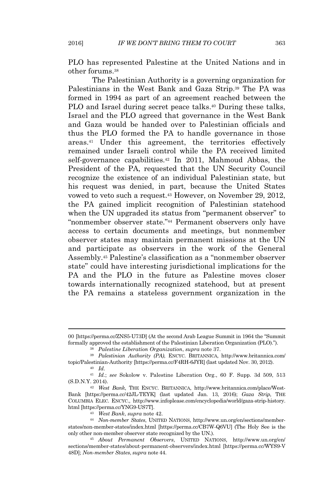PLO has represented Palestine at the United Nations and in other forums.<sup>38</sup>

The Palestinian Authority is a governing organization for Palestinians in the West Bank and Gaza Strip.<sup>39</sup> The PA was formed in 1994 as part of an agreement reached between the PLO and Israel during secret peace talks.<sup>40</sup> During these talks, Israel and the PLO agreed that governance in the West Bank and Gaza would be handed over to Palestinian officials and thus the PLO formed the PA to handle governance in those areas.<sup>41</sup> Under this agreement, the territories effectively remained under Israeli control while the PA received limited self-governance capabilities.<sup>42</sup> In 2011, Mahmoud Abbas, the President of the PA, requested that the UN Security Council recognize the existence of an individual Palestinian state, but his request was denied, in part, because the United States vowed to veto such a request.<sup>43</sup> However, on November 29, 2012, the PA gained implicit recognition of Palestinian statehood when the UN upgraded its status from "permanent observer" to "nonmember observer state." <sup>44</sup> Permanent observers only have access to certain documents and meetings, but nonmember observer states may maintain permanent missions at the UN and participate as observers in the work of the General Assembly.<sup>45</sup> Palestine's classification as a "nonmember observer state" could have interesting jurisdictional implications for the PA and the PLO in the future as Palestine moves closer towards internationally recognized statehood, but at present the PA remains a stateless government organization in the

<sup>00</sup> [https://perma.cc/ZNS5-U73D] (At the second Arab League Summit in 1964 the "Summit formally approved the establishment of the Palestinian Liberation Organization (PLO).").

<sup>38</sup> *Palestine Liberation Organization*, *supra* note 37.

<sup>39</sup> *Palestinian Authority (PA)*, ENCYC. BRITANNICA, http://www.britannica.com/ topic/Palestinian-Authority [https://perma.cc/F4RH-6JYR] (last updated Nov. 30, 2012). <sup>40</sup> *Id.*

<sup>41</sup> *Id.*; *see* Sokolow v. Palestine Liberation Org., 60 F. Supp. 3d 509, 513 (S.D.N.Y. 2014).

<sup>42</sup> *West Bank*, THE ENCYC. BRITANNICA, http://www.britannica.com/place/West-Bank [https://perma.cc/42JL-TEYK] (last updated Jan. 13, 2016); *Gaza Strip*, THE COLUMBIA ELEC. ENCYC., http://www.infoplease.com/encyclopedia/world/gaza-strip-history. html [https://perma.cc/YNG9-US7T].

<sup>43</sup> *West Bank*, *supra* note 42.

<sup>44</sup> *Non-member States*, UNITED NATIONS, http://www.un.org/en/sections/memberstates/non-member-states/index.html [https://perma.cc/CB7W-Q6VU] (The Holy See is the only other non-member observer state recognized by the UN.).

<sup>45</sup> *About Permanent Observers*, UNITED NATIONS, http://www.un.org/en/ sections/member-states/about-permanent-observers/index.html [https://perma.cc/WYS9-V 48D]; *Non-member States*, *supra* note 44.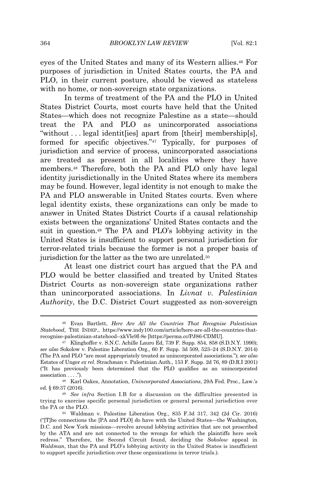eyes of the United States and many of its Western allies.<sup>46</sup> For purposes of jurisdiction in United States courts, the PA and PLO, in their current posture, should be viewed as stateless with no home, or non-sovereign state organizations.

In terms of treatment of the PA and the PLO in United States District Courts, most courts have held that the United States—which does not recognize Palestine as a state—should treat the PA and PLO as unincorporated associations "without . . . legal identit[ies] apart from [their] membership[s], formed for specific objectives."<sup>47</sup> Typically, for purposes of jurisdiction and service of process, unincorporated associations are treated as present in all localities where they have members.<sup>48</sup> Therefore, both the PA and PLO only have legal identity jurisdictionally in the United States where its members may be found. However, legal identity is not enough to make the PA and PLO answerable in United States courts. Even where legal identity exists, these organizations can only be made to answer in United States District Courts if a causal relationship exists between the organizations' United States contacts and the suit in question.<sup>49</sup> The PA and PLO's lobbying activity in the United States is insufficient to support personal jurisdiction for terror-related trials because the former is not a proper basis of jurisdiction for the latter as the two are unrelated.<sup>50</sup>

At least one district court has argued that the PA and PLO would be better classified and treated by United States District Courts as non-sovereign state organizations rather than unincorporated associations. In *Livnat v. Palestinian Authority*, the D.C. District Court suggested as non-sovereign

<sup>46</sup> Evan Bartlett, *Here Are All the Countries That Recognise Palestinian Statehood*, THE INDEP., https://www.indy100.com/article/here-are-all-the-countries-thatrecognise-palestinian-statehood--xkVle9I-8e [https://perma.cc/PJ86-CDMU].

<sup>47</sup> Klinghoffer v. S.N.C. Achille Lauro Ed, 739 F. Supp. 854, 858 (S.D.N.Y. 1990); *see also* Sokolow v. Palestine Liberation Org., 60 F. Supp. 3d 509, 523–24 (S.D.N.Y. 2014) (The PA and PLO "are most appropriately treated as unincorporated associations."); *see also* Estates of Unger *ex rel.* Strachman v. Palestinian Auth., 153 F. Supp. 2d 76, 89 (D.R.I 2001) ("It has previously been determined that the PLO qualifies as an unincorporated association . . . .").

<sup>48</sup> Karl Oakes, Annotation, *Unincorporated Associations*, 29A Fed. Proc., Law.'s ed. § 69:37 (2016).

<sup>49</sup> *See infra* Section I.B for a discussion on the difficulties presented in trying to exercise specific personal jurisdiction or general personal jurisdiction over the PA or the PLO.

<sup>50</sup> Waldman v. Palestine Liberation Org., 835 F.3d 317, 342 (2d Cir. 2016) ("[T]he connections the [PA and PLO] do have with the United States—the Washington, D.C. and New York missions—revolve around lobbying activities that are not proscribed by the ATA and are not connected to the wrongs for which the plaintiffs here seek redress." Therefore, the Second Circuit found, deciding the *Sokolow* appeal in *Waldman*, that the PA and PLO's lobbying activity in the United States is insufficient to support specific jurisdiction over these organizations in terror trials.).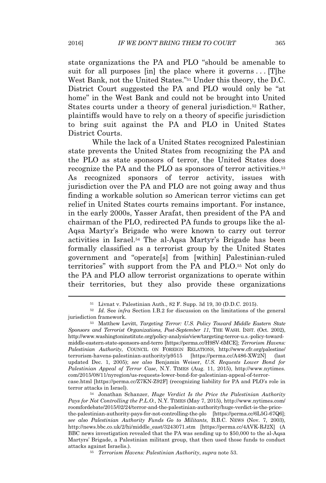state organizations the PA and PLO "should be amenable to suit for all purposes  $\lceil \text{in} \rceil$  the place where it governs ...  $\lceil \text{T} \rceil$  he West Bank, not the United States." <sup>51</sup> Under this theory, the D.C. District Court suggested the PA and PLO would only be "at home" in the West Bank and could not be brought into United States courts under a theory of general jurisdiction.<sup>52</sup> Rather, plaintiffs would have to rely on a theory of specific jurisdiction to bring suit against the PA and PLO in United States District Courts.

While the lack of a United States recognized Palestinian state prevents the United States from recognizing the PA and the PLO as state sponsors of terror, the United States does recognize the PA and the PLO as sponsors of terror activities.<sup>53</sup> As recognized sponsors of terror activity, issues with jurisdiction over the PA and PLO are not going away and thus finding a workable solution so American terror victims can get relief in United States courts remains important. For instance, in the early 2000s, Yasser Arafat, then president of the PA and chairman of the PLO, redirected PA funds to groups like the al-Aqsa Martyr's Brigade who were known to carry out terror activities in Israel.<sup>54</sup> The al-Aqsa Martyr's Brigade has been formally classified as a terrorist group by the United States government and "operate[s] from [within] Palestinian-ruled territories" with support from the PA and PLO.<sup>55</sup> Not only do the PA and PLO allow terrorist organizations to operate within their territories, but they also provide these organizations

<sup>51</sup> Livnat v. Palestinian Auth., 82 F. Supp. 3d 19, 30 (D.D.C. 2015).

<sup>52</sup> *Id.* See *infra* Section I.B.2 for discussion on the limitations of the general jurisdiction framework.

<sup>53</sup> Matthew Levitt, *Targeting Terror: U.S. Policy Toward Middle Eastern State Sponsors and Terrorist Organizations, Post-September 11*, THE WASH. INST. (Oct. 2002), http://www.washingtoninstitute.org/policy-analysis/view/targeting-terror-u.s.-policy-towardmiddle-eastern-state-sponsors-and-terro [https://perma.cc/H9SV-6MCE]; *Terrorism Havens: Palestinian Authority*, COUNCIL ON FOREIGN RELATIONS, http://www.cfr.org/palestine/ terrorism-havens-palestinian-authority/p9515 [https://perma.cc/A486-XW2N] updated Dec. 1, 2005); *see also* Benjamin Weiser, *U.S. Requests Lower Bond for Palestinian Appeal of Terror Case*, N.Y. TIMES (Aug. 11, 2015), http://www.nytimes. com/2015/08/11/nyregion/us-requests-lower-bond-for-palestinian-appeal-of-terrorcase.html [https://perma.cc/Z7KN-Z92F] (recognizing liability for PA and PLO's role in terror attacks in Israel).

<sup>54</sup> Jonathan Schanzer, *Huge Verdict Is the Price the Palestinian Authority Pays for Not Controlling the P.L.O.*, N.Y. TIMES (May 7, 2015), http://www.nytimes.com/ roomfordebate/2015/02/24/terror-and-the-palestinian-authority/huge-verdict-is-the-pricethe-palestinian-authority-pays-for-not-controlling-the-plo [https://perma.cc/6L5G-67Q6]; *see also Palestinian Authority Funds Go to Militants*, B.B.C. NEWS (Nov. 7, 2003), http://news.bbc.co.uk/2/hi/middle\_east/3243071.stm [https://perma.cc/4AVK-RJ2X] (A BBC news investigation revealed that the PA was sending up to \$50,000 to the al-Aqsa Martyrs' Brigade, a Palestinian militant group, that then used those funds to conduct attacks against Israelis.).

<sup>55</sup> *Terrorism Havens: Palestinian Authority*, *supra* note 53.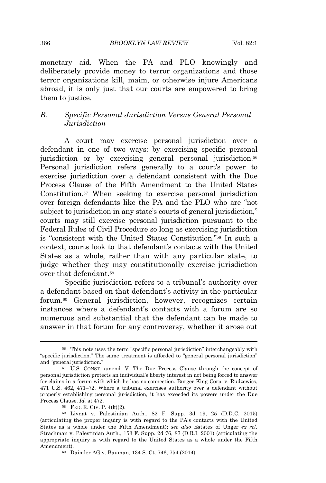monetary aid. When the PA and PLO knowingly and deliberately provide money to terror organizations and those terror organizations kill, maim, or otherwise injure Americans abroad, it is only just that our courts are empowered to bring them to justice.

# *B. Specific Personal Jurisdiction Versus General Personal Jurisdiction*

A court may exercise personal jurisdiction over a defendant in one of two ways: by exercising specific personal jurisdiction or by exercising general personal jurisdiction.<sup>56</sup> Personal jurisdiction refers generally to a court's power to exercise jurisdiction over a defendant consistent with the Due Process Clause of the Fifth Amendment to the United States Constitution.<sup>57</sup> When seeking to exercise personal jurisdiction over foreign defendants like the PA and the PLO who are "not subject to jurisdiction in any state's courts of general jurisdiction," courts may still exercise personal jurisdiction pursuant to the Federal Rules of Civil Procedure so long as exercising jurisdiction is "consistent with the United States Constitution." <sup>58</sup> In such a context, courts look to that defendant's contacts with the United States as a whole, rather than with any particular state, to judge whether they may constitutionally exercise jurisdiction over that defendant.<sup>59</sup>

Specific jurisdiction refers to a tribunal's authority over a defendant based on that defendant's activity in the particular forum.<sup>60</sup> General jurisdiction, however, recognizes certain instances where a defendant's contacts with a forum are so numerous and substantial that the defendant can be made to answer in that forum for any controversy, whether it arose out

<sup>58</sup> FED. R. CIV. P. 4(k)(2).

<sup>56</sup> This note uses the term "specific personal jurisdiction" interchangeably with "specific jurisdiction." The same treatment is afforded to "general personal jurisdiction" and "general jurisdiction."

<sup>57</sup> U.S. CONST. amend. V. The Due Process Clause through the concept of personal jurisdiction protects an individual's liberty interest in not being forced to answer for claims in a forum with which he has no connection. Burger King Corp. v. Rudzewics, 471 U.S. 462, 471–72. Where a tribunal exercises authority over a defendant without properly establishing personal jurisdiction, it has exceeded its powers under the Due Process Clause. *Id.* at 472.

<sup>59</sup> Livnat v. Palestinian Auth., 82 F. Supp. 3d 19, 25 (D.D.C. 2015) (articulating the proper inquiry is with regard to the PA's contacts with the United States as a whole under the Fifth Amendment); *see also* Estates of Unger *ex rel.* Strachman v. Palestinian Auth., 153 F. Supp. 2d 76, 87 (D.R.I. 2001) (articulating the appropriate inquiry is with regard to the United States as a whole under the Fifth Amendment).

<sup>60</sup> Daimler AG v. Bauman, 134 S. Ct. 746, 754 (2014).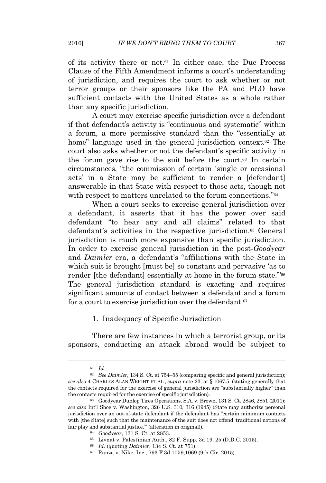of its activity there or not.<sup>61</sup> In either case, the Due Process Clause of the Fifth Amendment informs a court's understanding of jurisdiction, and requires the court to ask whether or not terror groups or their sponsors like the PA and PLO have sufficient contacts with the United States as a whole rather than any specific jurisdiction.

A court may exercise specific jurisdiction over a defendant if that defendant's activity is "continuous and systematic" within a forum, a more permissive standard than the "essentially at home" language used in the general jurisdiction context*.* <sup>62</sup> The court also asks whether or not the defendant's specific activity in the forum gave rise to the suit before the court.<sup>63</sup> In certain circumstances, "the commission of certain 'single or occasional acts' in a State may be sufficient to render a [defendant] answerable in that State with respect to those acts, though not with respect to matters unrelated to the forum connections."<sup>64</sup>

When a court seeks to exercise general jurisdiction over a defendant, it asserts that it has the power over said defendant "to hear any and all claims" related to that defendant's activities in the respective jurisdiction.<sup>65</sup> General jurisdiction is much more expansive than specific jurisdiction. In order to exercise general jurisdiction in the post-*Goodyear* and *Daimler* era, a defendant's "affiliations with the State in which suit is brought [must be] so constant and pervasive 'as to render [the defendant] essentially at home in the forum state."<sup>66</sup> The general jurisdiction standard is exacting and requires significant amounts of contact between a defendant and a forum for a court to exercise jurisdiction over the defendant.<sup>67</sup>

1. Inadequacy of Specific Jurisdiction

There are few instances in which a terrorist group, or its sponsors, conducting an attack abroad would be subject to

<sup>61</sup> *Id.*

<sup>62</sup> *See Daimler*, 134 S. Ct. at 754–55 (comparing specific and general jurisdiction); *see also* 4 CHARLES ALAN WRIGHT ET AL., *supra* note 23, at § 1067.5 (stating generally that the contacts required for the exercise of general jurisdiction are "substantially higher" than the contacts required for the exercise of specific jurisdiction).

<sup>63</sup> Goodyear Dunlop Tires Operations, S.A. v. Brown, 131 S. Ct. 2846, 2851 (2011); *see also* Int'l Shoe v. Washington, 326 U.S. 310, 316 (1945) (State may authorize personal jurisdiction over an out-of-state defendant if the defendant has "certain minimum contacts with [the State] such that the maintenance of the suit does not offend 'traditional notions of fair play and substantial justice.'" (alteration in original)).

<sup>64</sup> *Goodyear*, 131 S. Ct. at 2853.

<sup>65</sup> Livnat v. Palestinian Auth., 82 F. Supp. 3d 19, 25 (D.D.C. 2015).

<sup>66</sup> *Id.* (quoting *Daimler*, 134 S. Ct. at 751).

<sup>67</sup> Ranza v. Nike, Inc., 793 F.3d 1059,1069 (9th Cir. 2015).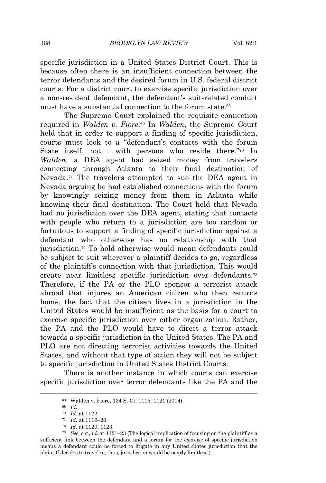specific jurisdiction in a United States District Court. This is because often there is an insufficient connection between the terror defendants and the desired forum in U.S. federal district courts. For a district court to exercise specific jurisdiction over a non-resident defendant, the defendant's suit-related conduct must have a substantial connection to the forum state.<sup>68</sup>

The Supreme Court explained the requisite connection required in *Walden v. Fiore*. <sup>69</sup> In *Walden*, the Supreme Court held that in order to support a finding of specific jurisdiction, courts must look to a "defendant's contacts with the forum State itself, not ... with persons who reside there."70 In *Walden*, a DEA agent had seized money from travelers connecting through Atlanta to their final destination of Nevada.<sup>71</sup> The travelers attempted to sue the DEA agent in Nevada arguing he had established connections with the forum by knowingly seizing money from them in Atlanta while knowing their final destination. The Court held that Nevada had no jurisdiction over the DEA agent, stating that contacts with people who return to a jurisdiction are too random or fortuitous to support a finding of specific jurisdiction against a defendant who otherwise has no relationship with that jurisdiction.<sup>72</sup> To hold otherwise would mean defendants could be subject to suit wherever a plaintiff decides to go, regardless of the plaintiff's connection with that jurisdiction. This would create near limitless specific jurisdiction over defendants.<sup>73</sup> Therefore, if the PA or the PLO sponsor a terrorist attack abroad that injures an American citizen who then returns home, the fact that the citizen lives in a jurisdiction in the United States would be insufficient as the basis for a court to exercise specific jurisdiction over either organization. Rather, the PA and the PLO would have to direct a terror attack towards a specific jurisdiction in the United States. The PA and PLO are not directing terrorist activities towards the United States, and without that type of action they will not be subject to specific jurisdiction in United States District Courts.

There is another instance in which courts can exercise specific jurisdiction over terror defendants like the PA and the

<sup>68</sup> Walden v. Fiore, 134 S. Ct. 1115, 1121 (2014).

<sup>69</sup> *Id.*

<sup>70</sup> *Id.* at 1122.

<sup>71</sup> *Id.* at 1119–20.

<sup>72</sup> *Id.* at 1120, 1123.

<sup>73</sup> *See, e.g.*, *id.* at 1121–23 (The logical implication of focusing on the plaintiff as a sufficient link between the defendant and a forum for the exercise of specific jurisdiction means a defendant could be forced to litigate in any United States jurisdiction that the plaintiff decides to travel to; thus, jurisdiction would be nearly limitless.).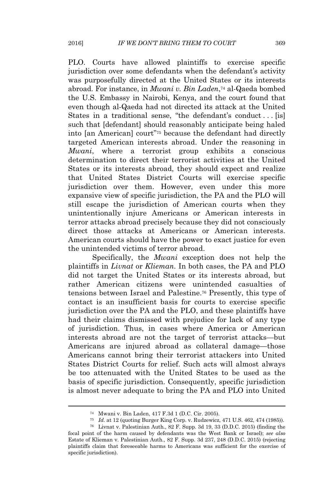PLO. Courts have allowed plaintiffs to exercise specific jurisdiction over some defendants when the defendant's activity was purposefully directed at the United States or its interests abroad. For instance, in *Mwani v. Bin Laden*, <sup>74</sup> al-Qaeda bombed the U.S. Embassy in Nairobi, Kenya, and the court found that even though al-Qaeda had not directed its attack at the United States in a traditional sense, "the defendant's conduct... [is] such that [defendant] should reasonably anticipate being haled into [an American] court" <sup>75</sup> because the defendant had directly targeted American interests abroad. Under the reasoning in *Mwani*, where a terrorist group exhibits a conscious determination to direct their terrorist activities at the United States or its interests abroad, they should expect and realize that United States District Courts will exercise specific jurisdiction over them. However, even under this more expansive view of specific jurisdiction, the PA and the PLO will still escape the jurisdiction of American courts when they unintentionally injure Americans or American interests in terror attacks abroad precisely because they did not consciously direct those attacks at Americans or American interests. American courts should have the power to exact justice for even the unintended victims of terror abroad.

Specifically, the *Mwani* exception does not help the plaintiffs in *Livnat* or *Klieman.* In both cases, the PA and PLO did not target the United States or its interests abroad, but rather American citizens were unintended casualties of tensions between Israel and Palestine.<sup>76</sup> Presently, this type of contact is an insufficient basis for courts to exercise specific jurisdiction over the PA and the PLO, and these plaintiffs have had their claims dismissed with prejudice for lack of any type of jurisdiction. Thus, in cases where America or American interests abroad are not the target of terrorist attacks—but Americans are injured abroad as collateral damage—those Americans cannot bring their terrorist attackers into United States District Courts for relief. Such acts will almost always be too attenuated with the United States to be used as the basis of specific jurisdiction. Consequently, specific jurisdiction is almost never adequate to bring the PA and PLO into United

<sup>74</sup> Mwani v. Bin Laden, 417 F.3d 1 (D.C. Cir. 2005).

<sup>75</sup> *Id.* at 12 (quoting Burger King Corp. v. Rudzewicz, 471 U.S. 462, 474 (1985)).

<sup>76</sup> Livnat v. Palestinian Auth., 82 F. Supp. 3d 19, 33 (D.D.C. 2015) (finding the focal point of the harm caused by defendants was the West Bank or Israel); *see also* Estate of Klieman v. Palestinian Auth., 82 F. Supp. 3d 237, 248 (D.D.C. 2015) (rejecting plaintiffs claim that foreseeable harms to Americans was sufficient for the exercise of specific jurisdiction).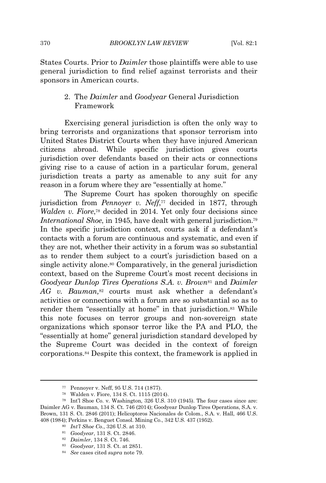States Courts. Prior to *Daimler* those plaintiffs were able to use general jurisdiction to find relief against terrorists and their sponsors in American courts.

#### 2. The *Daimler* and *Goodyear* General Jurisdiction Framework

Exercising general jurisdiction is often the only way to bring terrorists and organizations that sponsor terrorism into United States District Courts when they have injured American citizens abroad. While specific jurisdiction gives courts jurisdiction over defendants based on their acts or connections giving rise to a cause of action in a particular forum, general jurisdiction treats a party as amenable to any suit for any reason in a forum where they are "essentially at home."

The Supreme Court has spoken thoroughly on specific jurisdiction from *Pennoyer v. Neff*, <sup>77</sup> decided in 1877, through Walden v. Fiore,<sup>78</sup> decided in 2014. Yet only four decisions since *International Shoe*, in 1945, have dealt with general jurisdiction.<sup>79</sup> In the specific jurisdiction context, courts ask if a defendant's contacts with a forum are continuous and systematic, and even if they are not, whether their activity in a forum was so substantial as to render them subject to a court's jurisdiction based on a single activity alone.<sup>80</sup> Comparatively, in the general jurisdiction context, based on the Supreme Court's most recent decisions in *Goodyear Dunlop Tires Operations S.A. v. Brown*<sup>81</sup> and *Daimler AG v. Bauman,*<sup>82</sup> courts must ask whether a defendant's activities or connections with a forum are so substantial so as to render them "essentially at home" in that jurisdiction.<sup>83</sup> While this note focuses on terror groups and non-sovereign state organizations which sponsor terror like the PA and PLO, the "essentially at home" general jurisdiction standard developed by the Supreme Court was decided in the context of foreign corporations.<sup>84</sup> Despite this context, the framework is applied in

<sup>77</sup> Pennoyer v. Neff, 95 U.S. 714 (1877).

<sup>78</sup> Walden v. Fiore, 134 S. Ct. 1115 (2014).

<sup>79</sup> Int'l Shoe Co. v. Washington, 326 U.S. 310 (1945). The four cases since are: Daimler AG v. Bauman, 134 S. Ct. 746 (2014); Goodyear Dunlop Tires Operations, S.A. v. Brown, 131 S. Ct. 2846 (2011); Helicoptoros Nacionales de Colom., S.A. v. Hall, 466 U.S. 408 (1984); Perkins v. Benguet Consol. Mining Co., 342 U.S. 437 (1952).

<sup>80</sup> *Int'l Shoe Co.*, 326 U.S. at 310.

<sup>81</sup> *Goodyear*, 131 S. Ct. 2846.

<sup>82</sup> *Daimler*, 134 S. Ct. 746.

<sup>83</sup> *Goodyear*, 131 S. Ct. at 2851.

<sup>84</sup> *See* cases cited *supra* note 79.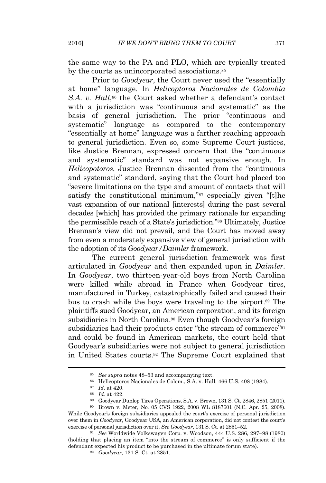the same way to the PA and PLO, which are typically treated by the courts as unincorporated associations.<sup>85</sup>

Prior to *Goodyear*, the Court never used the "essentially at home" language. In *Helicoptoros Nacionales de Colombia* S.A. v. Hall,<sup>86</sup> the Court asked whether a defendant's contact with a jurisdiction was "continuous and systematic" as the basis of general jurisdiction. The prior "continuous and systematic" language as compared to the contemporary "essentially at home" language was a farther reaching approach to general jurisdiction. Even so, some Supreme Court justices, like Justice Brennan, expressed concern that the "continuous and systematic" standard was not expansive enough. In *Helicopotoros*, Justice Brennan dissented from the "continuous and systematic" standard, saying that the Court had placed too "severe limitations on the type and amount of contacts that will satisfy the constitutional minimum,"<sup>87</sup> especially given "[t]he vast expansion of our national [interests] during the past several decades [which] has provided the primary rationale for expanding the permissible reach of a State's jurisdiction." <sup>88</sup> Ultimately, Justice Brennan's view did not prevail, and the Court has moved away from even a moderately expansive view of general jurisdiction with the adoption of its *Goodyear/Daimler* framework.

The current general jurisdiction framework was first articulated in *Goodyear* and then expanded upon in *Daimler.* In *Goodyear*, two thirteen-year-old boys from North Carolina were killed while abroad in France when Goodyear tires, manufactured in Turkey, catastrophically failed and caused their bus to crash while the boys were traveling to the airport.<sup>89</sup> The plaintiffs sued Goodyear, an American corporation, and its foreign subsidiaries in North Carolina.<sup>90</sup> Even though Goodyear's foreign subsidiaries had their products enter "the stream of commerce"<sup>91</sup> and could be found in American markets, the court held that Goodyear's subsidiaries were not subject to general jurisdiction in United States courts.<sup>92</sup> The Supreme Court explained that

<sup>85</sup> *See supra* notes 48–53 and accompanying text.

<sup>86</sup> Helicoptoros Nacionales de Colom., S.A. v. Hall, 466 U.S. 408 (1984).

<sup>87</sup> *Id.* at 420.

<sup>88</sup> *Id.* at 422.

<sup>89</sup> Goodyear Dunlop Tires Operations, S.A. v. Brown, 131 S. Ct. 2846, 2851 (2011).

<sup>90</sup> Brown v. Meter, No. 05 CVS 1922, 2008 WL 8187601 (N.C. Apr. 25, 2008). While Goodyear's foreign subsidiaries appealed the court's exercise of personal jurisdiction over them in *Goodyear*, Goodyear USA, an American corporation, did not contest the court's exercise of personal jurisdiction over it. *See Goodyear*, 131 S. Ct. at 2851–52.

<sup>91</sup> *See* Worldwide Volkswagen Corp. v. Woodson, 444 U.S. 286, 297–98 (1980) (holding that placing an item "into the stream of commerce" is only sufficient if the defendant expected his product to be purchased in the ultimate forum state).

<sup>92</sup> *Goodyear*, 131 S. Ct. at 2851.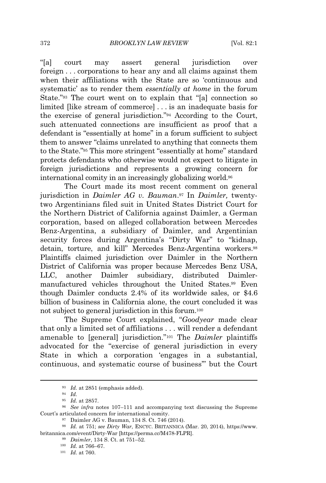"[a] court may assert general jurisdiction over foreign . . . corporations to hear any and all claims against them when their affiliations with the State are so 'continuous and systematic' as to render them *essentially at home* in the forum State."<sup>93</sup> The court went on to explain that "[a] connection so limited [like stream of commerce] . . . is an inadequate basis for the exercise of general jurisdiction." <sup>94</sup> According to the Court, such attenuated connections are insufficient as proof that a defendant is "essentially at home" in a forum sufficient to subject them to answer "claims unrelated to anything that connects them to the State." <sup>95</sup> This more stringent "essentially at home" standard protects defendants who otherwise would not expect to litigate in foreign jurisdictions and represents a growing concern for international comity in an increasingly globalizing world.<sup>96</sup>

The Court made its most recent comment on general jurisdiction in *Daimler AG v. Bauman*. <sup>97</sup> In *Daimler,* twentytwo Argentinians filed suit in United States District Court for the Northern District of California against Daimler, a German corporation, based on alleged collaboration between Mercedes Benz-Argentina, a subsidiary of Daimler, and Argentinian security forces during Argentina's "Dirty War" to "kidnap, detain, torture, and kill" Mercedes Benz-Argentina workers.<sup>98</sup> Plaintiffs claimed jurisdiction over Daimler in the Northern District of California was proper because Mercedes Benz USA, LLC, another Daimler subsidiary, distributed Daimlermanufactured vehicles throughout the United States.<sup>99</sup> Even though Daimler conducts 2.4% of its worldwide sales, or \$4.6 billion of business in California alone, the court concluded it was not subject to general jurisdiction in this forum.<sup>100</sup>

The Supreme Court explained, "*Goodyear* made clear that only a limited set of affiliations . . . will render a defendant amenable to [general] jurisdiction." <sup>101</sup> The *Daimler* plaintiffs advocated for the "exercise of general jurisdiction in every State in which a corporation 'engages in a substantial, continuous, and systematic course of business'" but the Court

<sup>93</sup> *Id.* at 2851 (emphasis added).

<sup>94</sup> *Id.*

<sup>95</sup> *Id.* at 2857.

<sup>96</sup> *See infra* notes 107–111 and accompanying text discussing the Supreme Court's articulated concern for international comity.

<sup>97</sup> Daimler AG v. Bauman, 134 S. Ct. 746 (2014).

<sup>98</sup> *Id.* at 751; *see Dirty War*, ENCYC. BRITANNICA (Mar. 20, 2014), https://www. britannica.com/event/Dirty-War [https://perma.cc/M478-FLPR].

<sup>99</sup> *Daimler*, 134 S. Ct. at 751–52.

<sup>100</sup> *Id.* at 766–67.

<sup>101</sup> *Id.* at 760.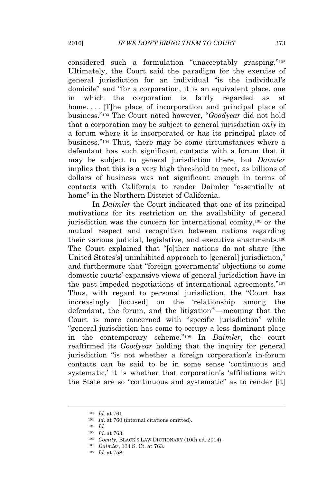considered such a formulation "unacceptably grasping." 102 Ultimately, the Court said the paradigm for the exercise of general jurisdiction for an individual "is the individual's domicile" and "for a corporation, it is an equivalent place, one in which the corporation is fairly regarded as at home.... The place of incorporation and principal place of business." <sup>103</sup> The Court noted however, "*Goodyear* did not hold that a corporation may be subject to general jurisdiction *only* in a forum where it is incorporated or has its principal place of business." <sup>104</sup> Thus, there may be some circumstances where a defendant has such significant contacts with a forum that it may be subject to general jurisdiction there, but *Daimler* implies that this is a very high threshold to meet, as billions of dollars of business was not significant enough in terms of contacts with California to render Daimler "essentially at home" in the Northern District of California.

In *Daimler* the Court indicated that one of its principal motivations for its restriction on the availability of general jurisdiction was the concern for international comity,<sup>105</sup> or the mutual respect and recognition between nations regarding their various judicial, legislative, and executive enactments.<sup>106</sup> The Court explained that "[o]ther nations do not share [the United States's] uninhibited approach to [general] jurisdiction," and furthermore that "foreign governments' objections to some domestic courts' expansive views of general jurisdiction have in the past impeded negotiations of international agreements."<sup>107</sup> Thus, with regard to personal jurisdiction, the "Court has increasingly [focused] on the 'relationship among the defendant, the forum, and the litigation'"—meaning that the Court is more concerned with "specific jurisdiction" while "general jurisdiction has come to occupy a less dominant place in the contemporary scheme." <sup>108</sup> In *Daimler*, the court reaffirmed its *Goodyear* holding that the inquiry for general jurisdiction "is not whether a foreign corporation's in-forum contacts can be said to be in some sense 'continuous and systematic,' it is whether that corporation's 'affiliations with the State are so "continuous and systematic" as to render [it]

<sup>103</sup> *Id.* at 760 (internal citations omitted).

<sup>107</sup> *Daimler*, 134 S. Ct. at 763.

<sup>102</sup> *Id.* at 761.

<sup>104</sup> *Id.*

<sup>105</sup> *Id.* at 763.

<sup>106</sup> *Comity*, BLACK'<sup>S</sup> LAW DICTIONARY (10th ed. 2014).

<sup>108</sup> *Id.* at 758.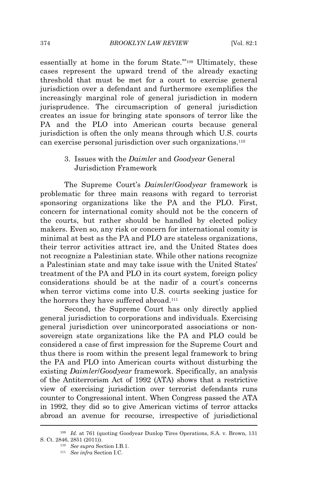#### 374 *BROOKLYN LAW REVIEW* [Vol. 82:1

essentially at home in the forum State."<sup>109</sup> Ultimately, these cases represent the upward trend of the already exacting threshold that must be met for a court to exercise general jurisdiction over a defendant and furthermore exemplifies the increasingly marginal role of general jurisdiction in modern jurisprudence. The circumscription of general jurisdiction creates an issue for bringing state sponsors of terror like the PA and the PLO into American courts because general jurisdiction is often the only means through which U.S. courts can exercise personal jurisdiction over such organizations.<sup>110</sup>

## 3. Issues with the *Daimler* and *Goodyear* General Jurisdiction Framework

The Supreme Court's *Daimler*/*Goodyear* framework is problematic for three main reasons with regard to terrorist sponsoring organizations like the PA and the PLO. First, concern for international comity should not be the concern of the courts, but rather should be handled by elected policy makers. Even so, any risk or concern for international comity is minimal at best as the PA and PLO are stateless organizations, their terror activities attract ire, and the United States does not recognize a Palestinian state. While other nations recognize a Palestinian state and may take issue with the United States' treatment of the PA and PLO in its court system, foreign policy considerations should be at the nadir of a court's concerns when terror victims come into U.S. courts seeking justice for the horrors they have suffered abroad.<sup>111</sup>

Second, the Supreme Court has only directly applied general jurisdiction to corporations and individuals. Exercising general jurisdiction over unincorporated associations or nonsovereign state organizations like the PA and PLO could be considered a case of first impression for the Supreme Court and thus there is room within the present legal framework to bring the PA and PLO into American courts without disturbing the existing *Daimler*/*Goodyear* framework. Specifically, an analysis of the Antiterrorism Act of 1992 (ATA) shows that a restrictive view of exercising jurisdiction over terrorist defendants runs counter to Congressional intent. When Congress passed the ATA in 1992, they did so to give American victims of terror attacks abroad an avenue for recourse, irrespective of jurisdictional

<sup>109</sup> *Id.* at 761 (quoting Goodyear Dunlop Tires Operations, S.A. v. Brown, 131 S. Ct. 2846, 2851 (2011)).

<sup>110</sup> *See supra* Section I.B.1.

<sup>111</sup> *See infra* Section I.C.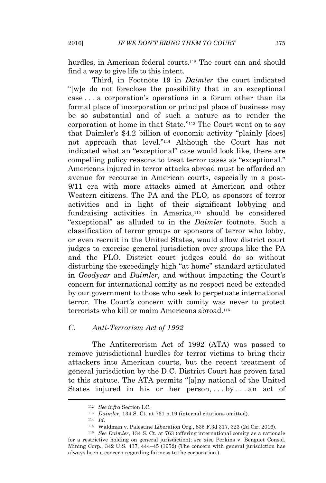hurdles, in American federal courts.<sup>112</sup> The court can and should find a way to give life to this intent.

Third, in Footnote 19 in *Daimler* the court indicated "[w]e do not foreclose the possibility that in an exceptional case . . . a corporation's operations in a forum other than its formal place of incorporation or principal place of business may be so substantial and of such a nature as to render the corporation at home in that State." <sup>113</sup> The Court went on to say that Daimler's \$4.2 billion of economic activity "plainly [does] not approach that level." <sup>114</sup> Although the Court has not indicated what an "exceptional" case would look like, there are compelling policy reasons to treat terror cases as "exceptional." Americans injured in terror attacks abroad must be afforded an avenue for recourse in American courts, especially in a post-9/11 era with more attacks aimed at American and other Western citizens. The PA and the PLO, as sponsors of terror activities and in light of their significant lobbying and fundraising activities in America,<sup>115</sup> should be considered "exceptional" as alluded to in the *Daimler* footnote. Such a classification of terror groups or sponsors of terror who lobby, or even recruit in the United States, would allow district court judges to exercise general jurisdiction over groups like the PA and the PLO. District court judges could do so without disturbing the exceedingly high "at home" standard articulated in *Goodyear* and *Daimler*, and without impacting the Court's concern for international comity as no respect need be extended by our government to those who seek to perpetuate international terror*.* The Court's concern with comity was never to protect terrorists who kill or maim Americans abroad.<sup>116</sup>

#### *C. Anti-Terrorism Act of 1992*

The Antiterrorism Act of 1992 (ATA) was passed to remove jurisdictional hurdles for terror victims to bring their attackers into American courts, but the recent treatment of general jurisdiction by the D.C. District Court has proven fatal to this statute. The ATA permits "[a]ny national of the United States injured in his or her person, ... by... an act of

<sup>112</sup> *See infra* Section I.C.

<sup>113</sup> *Daimler*, 134 S. Ct. at 761 n.19 (internal citations omitted).

<sup>114</sup> *Id.*

<sup>115</sup> Waldman v. Palestine Liberation Org., 835 F.3d 317, 323 (2d Cir. 2016).

<sup>116</sup> *See Daimler*, 134 S. Ct. at 763 (offering international comity as a rationale for a restrictive holding on general jurisdiction); *see also* Perkins v. Benguet Consol. Mining Corp., 342 U.S. 437, 444–45 (1952) (The concern with general jurisdiction has always been a concern regarding fairness to the corporation.).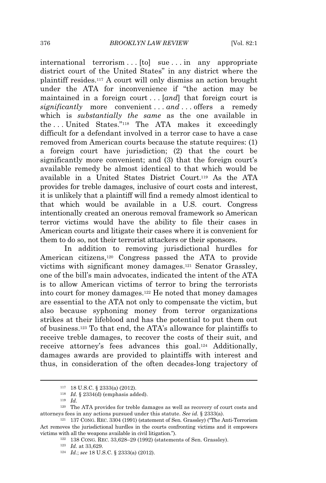international terrorism ... [to] sue ... in any appropriate district court of the United States" in any district where the plaintiff resides.<sup>117</sup> A court will only dismiss an action brought under the ATA for inconvenience if "the action may be maintained in a foreign court . . . [*and*] that foreign court is *significantly* more convenient . . . *and* . . . offers a remedy which is *substantially the same* as the one available in the . . . United States." <sup>118</sup> The ATA makes it exceedingly difficult for a defendant involved in a terror case to have a case removed from American courts because the statute requires: (1) a foreign court have jurisdiction; (2) that the court be significantly more convenient; and (3) that the foreign court's available remedy be almost identical to that which would be available in a United States District Court.<sup>119</sup> As the ATA provides for treble damages, inclusive of court costs and interest, it is unlikely that a plaintiff will find a remedy almost identical to that which would be available in a U.S. court. Congress intentionally created an onerous removal framework so American terror victims would have the ability to file their cases in American courts and litigate their cases where it is convenient for them to do so, not their terrorist attackers or their sponsors.

In addition to removing jurisdictional hurdles for American citizens,<sup>120</sup> Congress passed the ATA to provide victims with significant money damages.<sup>121</sup> Senator Grassley, one of the bill's main advocates, indicated the intent of the ATA is to allow American victims of terror to bring the terrorists into court for money damages.<sup>122</sup> He noted that money damages are essential to the ATA not only to compensate the victim, but also because syphoning money from terror organizations strikes at their lifeblood and has the potential to put them out of business.<sup>123</sup> To that end, the ATA's allowance for plaintiffs to receive treble damages, to recover the costs of their suit, and receive attorney's fees advances this goal.<sup>124</sup> Additionally, damages awards are provided to plaintiffs with interest and thus, in consideration of the often decades-long trajectory of

<sup>117</sup> 18 U.S.C. § 2333(a) (2012).

<sup>118</sup> *Id.* § 2334(d) (emphasis added).

<sup>119</sup> *Id.*

<sup>120</sup> The ATA provides for treble damages as well as recovery of court costs and attorneys fees in any actions pursued under this statute. *See id.* § 2333(a).

<sup>121</sup> 137 CONG. REC. 3304 (1991) (statement of Sen. Grassley) ("The Anti-Terrorism Act removes the jurisdictional hurdles in the courts confronting victims and it empowers victims with all the weapons available in civil litigation.").

<sup>122</sup> 138 CONG. REC. 33,628–29 (1992) (statements of Sen. Grassley).

<sup>123</sup> *Id.* at 33,629.

<sup>124</sup> *Id.*; *see* 18 U.S.C. § 2333(a) (2012).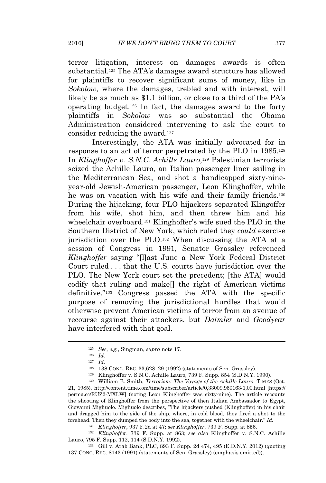terror litigation, interest on damages awards is often substantial.<sup>125</sup> The ATA's damages award structure has allowed for plaintiffs to recover significant sums of money, like in *Sokolow,* where the damages, trebled and with interest, will likely be as much as \$1.1 billion, or close to a third of the PA's operating budget.<sup>126</sup> In fact, the damages award to the forty plaintiffs in *Sokolow* was so substantial the Obama Administration considered intervening to ask the court to consider reducing the award.<sup>127</sup>

Interestingly, the ATA was initially advocated for in response to an act of terror perpetrated by the PLO in 1985.<sup>128</sup> In *Klinghoffer v. S.N.C. Achille Lauro*, <sup>129</sup> Palestinian terrorists seized the Achille Lauro, an Italian passenger liner sailing in the Mediterranean Sea, and shot a handicapped sixty-nineyear-old Jewish-American passenger, Leon Klinghoffer, while he was on vacation with his wife and their family friends.<sup>130</sup> During the hijacking, four PLO hijackers separated Klingoffer from his wife, shot him, and then threw him and his wheelchair overboard.<sup>131</sup> Klinghoffer's wife sued the PLO in the Southern District of New York, which ruled they *could* exercise jurisdiction over the PLO.<sup>132</sup> When discussing the ATA at a session of Congress in 1991, Senator Grassley referenced *Klinghoffer* saying "[l]ast June a New York Federal District Court ruled . . . that the U.S. courts have jurisdiction over the PLO. The New York court set the precedent; [the ATA] would codify that ruling and make[] the right of American victims definitive." <sup>133</sup> Congress passed the ATA with the specific purpose of removing the jurisdictional hurdles that would otherwise prevent American victims of terror from an avenue of recourse against their attackers, but *Daimler* and *Goodyear* have interfered with that goal.

<sup>130</sup> William E. Smith, *Terrorism: The Voyage of the Achille Lauro*, TIMES (Oct. 21, 1985), http://content.time.com/time/subscriber/article/0,33009,960163-1,00.html [https:// perma.cc/RUZ2-MXLW] (noting Leon Klinghoffer was sixty-nine). The article recounts the shooting of Klinghoffer from the perspective of then Italian Ambassador to Egypt, Giovanni Migliuolo. Migliuolo describes, "The hijackers pushed (Klinghoffer) in his chair and dragged him to the side of the ship, where, in cold blood, they fired a shot to the forehead. Then they dumped the body into the sea, together with the wheelchair." *Id.*

<sup>131</sup> *Klinghoffer*, 937 F.2d at 47; *see Klinghoffer*, 739 F. Supp. at 856.

<sup>132</sup> *Klinghoffer*, 739 F. Supp. at 863; *see also* Klinghoffer v. S.N.C. Achille Lauro, 795 F. Supp. 112, 114 (S.D.N.Y. 1992).

<sup>133</sup> Gill v. Arab Bank, PLC, 893 F. Supp. 2d 474, 495 (E.D.N.Y. 2012) (quoting 137 CONG. REC. 8143 (1991) (statements of Sen. Grassley) (emphasis omitted)).

<sup>125</sup> *See, e.g.*, Singman, *supra* note 17.

<sup>126</sup> *Id.*

<sup>127</sup> *Id.*

<sup>128</sup> 138 CONG. REC. 33,628–29 (1992) (statements of Sen. Grassley).

<sup>129</sup> Klinghoffer v. S.N.C. Achille Lauro, 739 F. Supp. 854 (S.D.N.Y. 1990).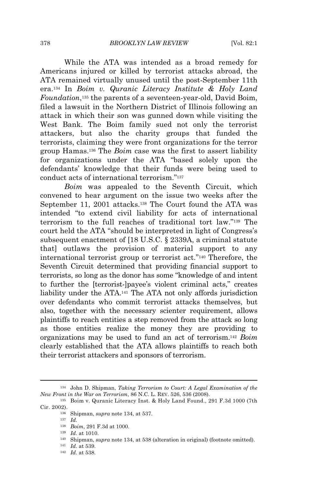While the ATA was intended as a broad remedy for Americans injured or killed by terrorist attacks abroad, the ATA remained virtually unused until the post-September 11th era.<sup>134</sup> In *Boim v. Quranic Literacy Institute & Holy Land Foundation*, <sup>135</sup> the parents of a seventeen-year-old, David Boim, filed a lawsuit in the Northern District of Illinois following an attack in which their son was gunned down while visiting the West Bank. The Boim family sued not only the terrorist attackers, but also the charity groups that funded the terrorists, claiming they were front organizations for the terror group Hamas.<sup>136</sup> The *Boim* case was the first to assert liability for organizations under the ATA "based solely upon the defendants' knowledge that their funds were being used to conduct acts of international terrorism." 137

*Boim* was appealed to the Seventh Circuit, which convened to hear argument on the issue two weeks after the September 11, 2001 attacks.<sup>138</sup> The Court found the ATA was intended "to extend civil liability for acts of international terrorism to the full reaches of traditional tort law." <sup>139</sup> The court held the ATA "should be interpreted in light of Congress's subsequent enactment of [18 U.S.C. § 2339A, a criminal statute that] outlaws the provision of material support to any international terrorist group or terrorist act."<sup>140</sup> Therefore, the Seventh Circuit determined that providing financial support to terrorists, so long as the donor has some "knowledge of and intent to further the [terrorist-]payee's violent criminal acts," creates liability under the ATA.<sup>141</sup> The ATA not only affords jurisdiction over defendants who commit terrorist attacks themselves, but also, together with the necessary scienter requirement, allows plaintiffs to reach entities a step removed from the attack so long as those entities realize the money they are providing to organizations may be used to fund an act of terrorism.<sup>142</sup> *Boim* clearly established that the ATA allows plaintiffs to reach both their terrorist attackers and sponsors of terrorism.

<sup>142</sup> *Id.* at 538.

<sup>134</sup> John D. Shipman, *Taking Terrorism to Court: A Legal Examination of the New Front in the War on Terrorism*, 86 N.C. L. REV. 526, 536 (2008).

<sup>135</sup> Boim v. Quranic Literacy Inst. & Holy Land Found., 291 F.3d 1000 (7th Cir. 2002).

<sup>136</sup> Shipman, *supra* note 134, at 537.

<sup>137</sup> *Id.*

<sup>138</sup> *Boim*, 291 F.3d at 1000.

<sup>139</sup> *Id.* at 1010.

<sup>140</sup> Shipman, *supra* note 134, at 538 (alteration in original) (footnote omitted).

<sup>141</sup> *Id.* at 539.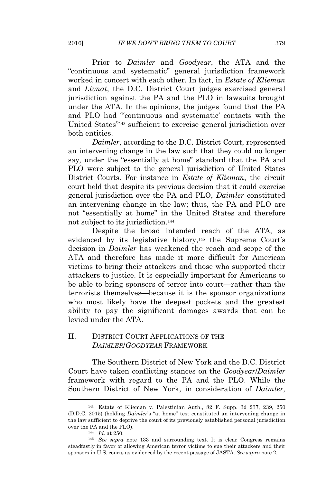Prior to *Daimler* and *Goodyear*, the ATA and the "continuous and systematic" general jurisdiction framework worked in concert with each other. In fact, in *Estate of Klieman* and *Livnat*, the D.C. District Court judges exercised general jurisdiction against the PA and the PLO in lawsuits brought under the ATA. In the opinions, the judges found that the PA and PLO had "'continuous and systematic' contacts with the United States" <sup>143</sup> sufficient to exercise general jurisdiction over both entities.

*Daimler*, according to the D.C. District Court, represented an intervening change in the law such that they could no longer say, under the "essentially at home" standard that the PA and PLO were subject to the general jurisdiction of United States District Courts. For instance in *Estate of Klieman*, the circuit court held that despite its previous decision that it could exercise general jurisdiction over the PA and PLO, *Daimler* constituted an intervening change in the law; thus, the PA and PLO are not "essentially at home" in the United States and therefore not subject to its jurisdiction.<sup>144</sup>

Despite the broad intended reach of the ATA, as evidenced by its legislative history,<sup>145</sup> the Supreme Court's decision in *Daimler* has weakened the reach and scope of the ATA and therefore has made it more difficult for American victims to bring their attackers and those who supported their attackers to justice. It is especially important for Americans to be able to bring sponsors of terror into court—rather than the terrorists themselves—because it is the sponsor organizations who most likely have the deepest pockets and the greatest ability to pay the significant damages awards that can be levied under the ATA.

#### II. DISTRICT COURT APPLICATIONS OF THE *DAIMLER*/*GOODYEAR* FRAMEWORK

The Southern District of New York and the D.C. District Court have taken conflicting stances on the *Goodyear*/*Daimler* framework with regard to the PA and the PLO. While the Southern District of New York, in consideration of *Daimler,*

<sup>143</sup> Estate of Klieman v. Palestinian Auth., 82 F. Supp. 3d 237, 239, 250 (D.D.C. 2015) (holding *Daimler*'s "at home" test constituted an intervening change in the law sufficient to deprive the court of its previously established personal jurisdiction over the PA and the PLO).

<sup>144</sup> *Id.* at 250.

<sup>145</sup> *See supra* note 133 and surrounding text. It is clear Congress remains steadfastly in favor of allowing American terror victims to sue their attackers and their sponsors in U.S. courts as evidenced by the recent passage of JASTA. *See supra* note 2.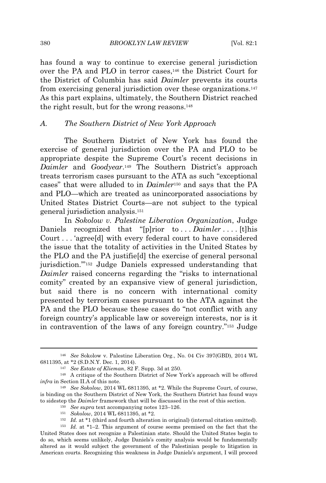has found a way to continue to exercise general jurisdiction over the PA and PLO in terror cases,<sup>146</sup> the District Court for the District of Columbia has said *Daimler* prevents its courts from exercising general jurisdiction over these organizations.<sup>147</sup> As this part explains, ultimately, the Southern District reached the right result, but for the wrong reasons.<sup>148</sup>

#### *A. The Southern District of New York Approach*

The Southern District of New York has found the exercise of general jurisdiction over the PA and PLO to be appropriate despite the Supreme Court's recent decisions in *Daimler* and *Goodyear*. <sup>149</sup> The Southern District's approach treats terrorism cases pursuant to the ATA as such "exceptional cases" that were alluded to in *Daimler*<sup>150</sup> and says that the PA and PLO—which are treated as unincorporated associations by United States District Courts—are not subject to the typical general jurisdiction analysis.<sup>151</sup>

In *Sokolow v. Palestine Liberation Organization*, Judge Daniels recognized that "[p]rior to . . . *Daimler* . . . . [t]his Court . . . 'agree[d] with every federal court to have considered the issue that the totality of activities in the United States by the PLO and the PA justifie[d] the exercise of general personal jurisdiction.'" <sup>152</sup> Judge Daniels expressed understanding that *Daimler* raised concerns regarding the "risks to international comity" created by an expansive view of general jurisdiction, but said there is no concern with international comity presented by terrorism cases pursuant to the ATA against the PA and the PLO because these cases do "not conflict with any foreign country's applicable law or sovereign interests, nor is it in contravention of the laws of any foreign country." <sup>153</sup> Judge

<sup>146</sup> *See* Sokolow v. Palestine Liberation Org., No. 04 Civ 397(GBD), 2014 WL 6811395, at \*2 (S.D.N.Y. Dec. 1, 2014).

<sup>147</sup> *See Estate of Klieman*, 82 F. Supp. 3d at 250.

<sup>148</sup> A critique of the Southern District of New York's approach will be offered *infra* in Section II.A of this note.

<sup>149</sup> *See Sokolow*, 2014 WL 6811395, at \*2. While the Supreme Court, of course, is binding on the Southern District of New York, the Southern District has found ways to sidestep the *Daimler* framework that will be discussed in the rest of this section.

<sup>150</sup> *See supra* text accompanying notes 123–126.

<sup>151</sup> *Sokolow*, 2014 WL 6811395, at \*2.

<sup>152</sup> *Id.* at \*1 (third and fourth alteration in original) (internal citation omitted).

<sup>153</sup> *Id.* at \*1–2. This argument of course seems premised on the fact that the United States does not recognize a Palestinian state. Should the United States begin to do so, which seems unlikely, Judge Daniels's comity analysis would be fundamentally altered as it would subject the government of the Palestinian people to litigation in American courts. Recognizing this weakness in Judge Daniels's argument, I will proceed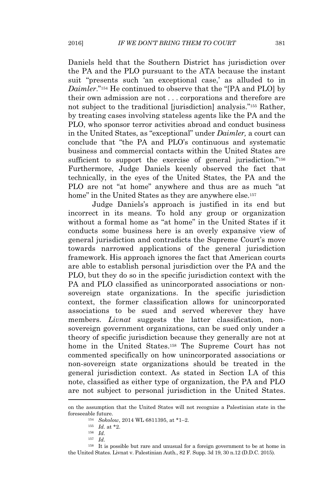Daniels held that the Southern District has jurisdiction over the PA and the PLO pursuant to the ATA because the instant suit "presents such 'an exceptional case,' as alluded to in *Daimler*." <sup>154</sup> He continued to observe that the "[PA and PLO] by their own admission are not . . . corporations and therefore are not subject to the traditional [jurisdiction] analysis." <sup>155</sup> Rather, by treating cases involving stateless agents like the PA and the PLO, who sponsor terror activities abroad and conduct business in the United States, as "exceptional" under *Daimler,* a court can conclude that "the PA and PLO's continuous and systematic business and commercial contacts within the United States are sufficient to support the exercise of general jurisdiction."<sup>156</sup> Furthermore, Judge Daniels keenly observed the fact that technically, in the eyes of the United States, the PA and the PLO are not "at home" anywhere and thus are as much "at home" in the United States as they are anywhere else.<sup>157</sup>

Judge Daniels's approach is justified in its end but incorrect in its means. To hold any group or organization without a formal home as "at home" in the United States if it conducts some business here is an overly expansive view of general jurisdiction and contradicts the Supreme Court's move towards narrowed applications of the general jurisdiction framework. His approach ignores the fact that American courts are able to establish personal jurisdiction over the PA and the PLO, but they do so in the specific jurisdiction context with the PA and PLO classified as unincorporated associations or nonsovereign state organizations. In the specific jurisdiction context, the former classification allows for unincorporated associations to be sued and served wherever they have members. *Livnat* suggests the latter classification, nonsovereign government organizations, can be sued only under a theory of specific jurisdiction because they generally are not at home in the United States.<sup>158</sup> The Supreme Court has not commented specifically on how unincorporated associations or non-sovereign state organizations should be treated in the general jurisdiction context. As stated in Section I.A of this note, classified as either type of organization, the PA and PLO are not subject to personal jurisdiction in the United States.

on the assumption that the United States will not recognize a Palestinian state in the foreseeable future.

<sup>154</sup> *Sokolow*, 2014 WL 6811395, at \*1–2.

<sup>155</sup> *Id.* at \*2.

<sup>156</sup> *Id.*

<sup>157</sup> *Id.*

<sup>158</sup> It is possible but rare and unusual for a foreign government to be at home in the United States. Livnat v. Palestinian Auth., 82 F. Supp. 3d 19, 30 n.12 (D.D.C. 2015).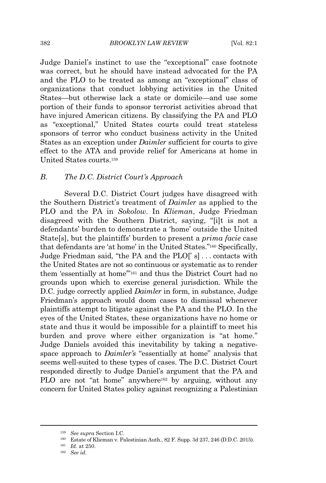Judge Daniel's instinct to use the "exceptional" case footnote was correct, but he should have instead advocated for the PA and the PLO to be treated as among an "exceptional" class of organizations that conduct lobbying activities in the United States—but otherwise lack a state or domicile—and use some portion of their funds to sponsor terrorist activities abroad that have injured American citizens. By classifying the PA and PLO as "exceptional," United States courts could treat stateless sponsors of terror who conduct business activity in the United States as an exception under *Daimler* sufficient for courts to give effect to the ATA and provide relief for Americans at home in United States courts.<sup>159</sup>

#### *B. The D.C. District Court's Approach*

Several D.C. District Court judges have disagreed with the Southern District's treatment of *Daimler* as applied to the PLO and the PA in *Sokolow*. In *Klieman*, Judge Friedman disagreed with the Southern District, saying, "[i]t is not a defendants' burden to demonstrate a 'home' outside the United State[s], but the plaintiffs' burden to present a *prima facie* case that defendants are 'at home' in the United States." <sup>160</sup> Specifically, Judge Friedman said, "the PA and the PLO[' s] . . . contacts with the United States are not so continuous or systematic as to render them 'essentially at home'" <sup>161</sup> and thus the District Court had no grounds upon which to exercise general jurisdiction. While the D.C. judge correctly applied *Daimler* in form, in substance, Judge Friedman's approach would doom cases to dismissal whenever plaintiffs attempt to litigate against the PA and the PLO. In the eyes of the United States, these organizations have no home or state and thus it would be impossible for a plaintiff to meet his burden and prove where either organization is "at home." Judge Daniels avoided this inevitability by taking a negativespace approach to *Daimler's* "essentially at home" analysis that seems well-suited to these types of cases. The D.C. District Court responded directly to Judge Daniel's argument that the PA and PLO are not "at home" anywhere<sup>162</sup> by arguing, without any concern for United States policy against recognizing a Palestinian

<sup>159</sup> *See supra* Section I.C.

<sup>160</sup> Estate of Klieman v. Palestinian Auth., 82 F. Supp. 3d 237, 246 (D.D.C. 2015).

<sup>161</sup> *Id.* at 250.

<sup>162</sup> *See id.*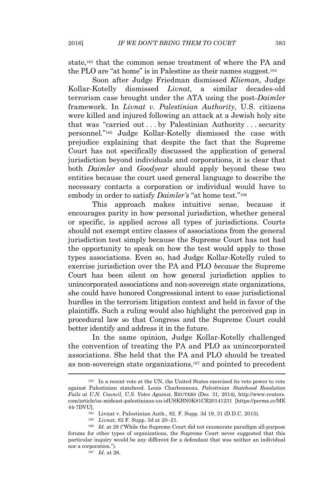state,<sup>163</sup> that the common sense treatment of where the PA and the PLO are "at home" is in Palestine as their names suggest.<sup>164</sup>

Soon after Judge Friedman dismissed *Klieman,* Judge Kollar-Kotelly dismissed *Livnat*, a similar decades-old terrorism case brought under the ATA using the post-*Daimler* framework. In *Livnat v. Palestinian Authority*, U.S. citizens were killed and injured following an attack at a Jewish holy site that was "carried out . . . by Palestinian Authority . . . security personnel." <sup>165</sup> Judge Kollar-Kotelly dismissed the case with prejudice explaining that despite the fact that the Supreme Court has not specifically discussed the application of general jurisdiction beyond individuals and corporations, it is clear that both *Daimler* and *Goodyear* should apply beyond these two entities because the court used general language to describe the necessary contacts a corporation or individual would have to embody in order to satisfy *Daimler's* "at home test."<sup>166</sup>

This approach makes intuitive sense, because it encourages parity in how personal jurisdiction, whether general or specific, is applied across all types of jurisdictions. Courts should not exempt entire classes of associations from the general jurisdiction test simply because the Supreme Court has not had the opportunity to speak on how the test would apply to those types associations. Even so, had Judge Kollar-Kotelly ruled to exercise jurisdiction over the PA and PLO *because* the Supreme Court has been silent on how general jurisdiction applies to unincorporated associations and non-sovereign state organizations, she could have honored Congressional intent to ease jurisdictional hurdles in the terrorism litigation context and held in favor of the plaintiffs. Such a ruling would also highlight the perceived gap in procedural law so that Congress and the Supreme Court could better identify and address it in the future.

In the same opinion, Judge Kollar-Kotelly challenged the convention of treating the PA and PLO as unincorporated associations. She held that the PA and PLO should be treated as non-sovereign state organizations,<sup>167</sup> and pointed to precedent

<sup>163</sup> In a recent vote at the UN, the United States exercised its veto power to vote against Palestinian statehood. Louis Charbonneau, *Palestinian Statehood Resolution Fails at U.N. Council, U.S. Votes Against*, REUTERS (Dec. 31, 2014), http://www.reuters. com/article/us-mideast-palestinians-un-idUSKBN0K81CR20141231 [https://perma.cc/ME 44-7DVU].

<sup>164</sup> Livnat v. Palestinian Auth., 82. F. Supp. 3d 19, 31 (D.D.C. 2015).

<sup>165</sup> *Livnat*, 82 F. Supp. 3d at 20–21.

<sup>166</sup> *Id.* at 28 ("While the Supreme Court did not enumerate paradigm all-purpose forums for other types of organizations, the Supreme Court never suggested that this particular inquiry would be any different for a defendant that was neither an individual nor a corporation.").

<sup>167</sup> *Id.* at 26.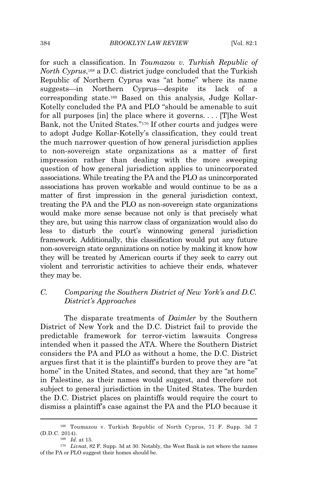for such a classification. In *Toumazou v. Turkish Republic of North Cyprus*, <sup>168</sup> a D.C. district judge concluded that the Turkish Republic of Northern Cyprus was "at home" where its name suggests—in Northern Cyprus—despite its lack of a corresponding state.<sup>169</sup> Based on this analysis, Judge Kollar-Kotelly concluded the PA and PLO "should be amenable to suit for all purposes [in] the place where it governs. . . . [T]he West Bank, not the United States." <sup>170</sup> If other courts and judges were to adopt Judge Kollar-Kotelly's classification, they could treat the much narrower question of how general jurisdiction applies to non-sovereign state organizations as a matter of first impression rather than dealing with the more sweeping question of how general jurisdiction applies to unincorporated associations. While treating the PA and the PLO as unincorporated associations has proven workable and would continue to be as a matter of first impression in the general jurisdiction context, treating the PA and the PLO as non-sovereign state organizations would make more sense because not only is that precisely what they are, but using this narrow class of organization would also do less to disturb the court's winnowing general jurisdiction framework. Additionally, this classification would put any future non-sovereign state organizations on notice by making it know how they will be treated by American courts if they seek to carry out violent and terroristic activities to achieve their ends, whatever they may be.

## *C. Comparing the Southern District of New York's and D.C. District's Approaches*

The disparate treatments of *Daimler* by the Southern District of New York and the D.C. District fail to provide the predictable framework for terror-victim lawsuits Congress intended when it passed the ATA. Where the Southern District considers the PA and PLO as without a home, the D.C. District argues first that it is the plaintiff's burden to prove they are "at home" in the United States, and second, that they are "at home" in Palestine, as their names would suggest, and therefore not subject to general jurisdiction in the United States. The burden the D.C. District places on plaintiffs would require the court to dismiss a plaintiff's case against the PA and the PLO because it

<sup>168</sup> Toumazou v. Turkish Republic of North Cyprus, 71 F. Supp. 3d 7 (D.D.C. 2014).

<sup>169</sup> *Id.* at 15.

<sup>170</sup> *Livnat*, 82 F. Supp. 3d at 30. Notably, the West Bank is not where the names of the PA or PLO suggest their homes should be.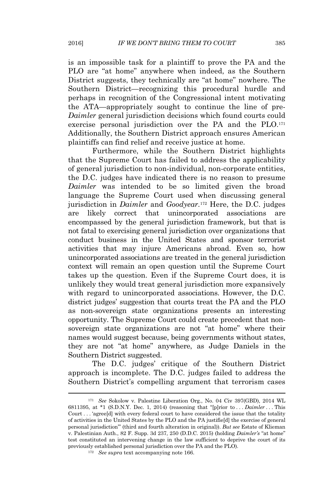is an impossible task for a plaintiff to prove the PA and the PLO are "at home" anywhere when indeed, as the Southern District suggests, they technically are "at home" nowhere. The Southern District—recognizing this procedural hurdle and perhaps in recognition of the Congressional intent motivating the ATA—appropriately sought to continue the line of pre-*Daimler* general jurisdiction decisions which found courts could exercise personal jurisdiction over the PA and the PLO.<sup>171</sup> Additionally, the Southern District approach ensures American plaintiffs can find relief and receive justice at home.

Furthermore, while the Southern District highlights that the Supreme Court has failed to address the applicability of general jurisdiction to non-individual, non-corporate entities, the D.C. judges have indicated there is no reason to presume *Daimler* was intended to be so limited given the broad language the Supreme Court used when discussing general jurisdiction in *Daimler* and *Goodyear.*<sup>172</sup> Here, the D.C. judges are likely correct that unincorporated associations are encompassed by the general jurisdiction framework, but that is not fatal to exercising general jurisdiction over organizations that conduct business in the United States and sponsor terrorist activities that may injure Americans abroad. Even so, how unincorporated associations are treated in the general jurisdiction context will remain an open question until the Supreme Court takes up the question. Even if the Supreme Court does, it is unlikely they would treat general jurisdiction more expansively with regard to unincorporated associations. However, the D.C. district judges' suggestion that courts treat the PA and the PLO as non-sovereign state organizations presents an interesting opportunity. The Supreme Court could create precedent that nonsovereign state organizations are not "at home" where their names would suggest because, being governments without states, they are not "at home" anywhere, as Judge Daniels in the Southern District suggested.

The D.C. judges' critique of the Southern District approach is incomplete. The D.C. judges failed to address the Southern District's compelling argument that terrorism cases

<sup>171</sup> *See* Sokolow v. Palestine Liberation Org., No. 04 Civ 397(GBD), 2014 WL 6811395, at \*1 (S.D.N.Y. Dec. 1, 2014) (reasoning that "[p]rior to . . . *Daimler . . .* This Court . . . 'agree[d] with every federal court to have considered the issue that the totality of activities in the United States by the PLO and the PA justifie[d] the exercise of general personal jurisdiction'" (third and fourth alteration in original)). *But see* Estate of Klieman v. Palestinian Auth., 82 F. Supp. 3d 237, 250 (D.D.C. 2015) (holding *Daimler's* "at home" test constituted an intervening change in the law sufficient to deprive the court of its previously established personal jurisdiction over the PA and the PLO).

<sup>172</sup> *See supra* text accompanying note 166.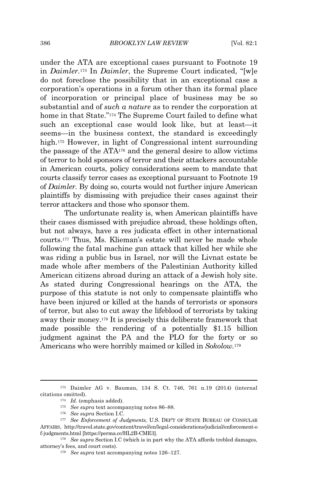under the ATA are exceptional cases pursuant to Footnote 19 in *Daimler.*<sup>173</sup> In *Daimler*, the Supreme Court indicated, "[w]e do not foreclose the possibility that in an exceptional case a corporation's operations in a forum other than its formal place of incorporation or principal place of business may be so substantial and of *such a nature* as to render the corporation at home in that State." <sup>174</sup> The Supreme Court failed to define what such an exceptional case would look like, but at least—it seems—in the business context, the standard is exceedingly high.<sup>175</sup> However, in light of Congressional intent surrounding the passage of the ATA<sup>176</sup> and the general desire to allow victims of terror to hold sponsors of terror and their attackers accountable in American courts, policy considerations seem to mandate that courts classify terror cases as exceptional pursuant to Footnote 19 of *Daimler.* By doing so, courts would not further injure American plaintiffs by dismissing with prejudice their cases against their terror attackers and those who sponsor them.

The unfortunate reality is, when American plaintiffs have their cases dismissed with prejudice abroad, these holdings often, but not always, have a res judicata effect in other international courts.<sup>177</sup> Thus, Ms. Klieman's estate will never be made whole following the fatal machine gun attack that killed her while she was riding a public bus in Israel, nor will the Livnat estate be made whole after members of the Palestinian Authority killed American citizens abroad during an attack of a Jewish holy site. As stated during Congressional hearings on the ATA, the purpose of this statute is not only to compensate plaintiffs who have been injured or killed at the hands of terrorists or sponsors of terror, but also to cut away the lifeblood of terrorists by taking away their money.<sup>178</sup> It is precisely this deliberate framework that made possible the rendering of a potentially \$1.15 billion judgment against the PA and the PLO for the forty or so Americans who were horribly maimed or killed in *Sokolow.*<sup>179</sup>

<sup>173</sup> Daimler AG v. Bauman, 134 S. Ct. 746, 761 n.19 (2014) (internal citations omitted).

<sup>174</sup> *Id.* (emphasis added).

<sup>175</sup> *See supra* text accompanying notes 86–88.

<sup>176</sup> *See supra* Section I.C.

<sup>177</sup> *See Enforcement of Judgments*, U.S. DEP'T OF STATE BUREAU OF CONSULAR AFFAIRS, http://travel.state.gov/content/travel/en/legal-considerations/judicial/enforcement-o f-judgments.html [https://perma.cc/HL2B-CME3].

<sup>&</sup>lt;sup>178</sup> *See supra* Section I.C (which is in part why the ATA affords trebled damages, attorney's fees, and court costs).

<sup>179</sup> *See supra* text accompanying notes 126–127.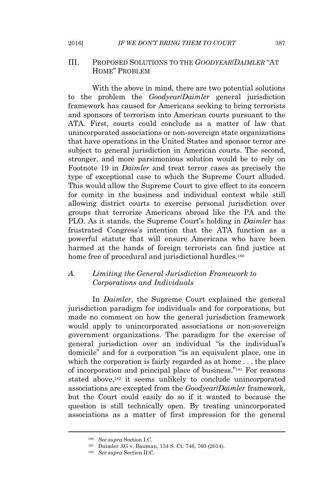### III. PROPOSED SOLUTIONS TO THE *GOODYEAR*/*DAIMLER* "A<sup>T</sup> HOME" PROBLEM

With the above in mind, there are two potential solutions to the problem the *Goodyear*/*Daimler* general jurisdiction framework has caused for Americans seeking to bring terrorists and sponsors of terrorism into American courts pursuant to the ATA. First, courts could conclude as a matter of law that unincorporated associations or non-sovereign state organizations that have operations in the United States and sponsor terror are subject to general jurisdiction in American courts. The second, stronger, and more parsimonious solution would be to rely on Footnote 19 in *Daimler* and treat terror cases as precisely the type of exceptional case to which the Supreme Court alluded. This would allow the Supreme Court to give effect to its concern for comity in the business and individual context while still allowing district courts to exercise personal jurisdiction over groups that terrorize Americans abroad like the PA and the PLO. As it stands, the Supreme Court's holding in *Daimler* has frustrated Congress's intention that the ATA function as a powerful statute that will ensure Americans who have been harmed at the hands of foreign terrorists can find justice at home free of procedural and jurisdictional hurdles.<sup>180</sup>

# *A. Limiting the General Jurisdiction Framework to Corporations and Individuals*

In *Daimler*, the Supreme Court explained the general jurisdiction paradigm for individuals and for corporations, but made no comment on how the general jurisdiction framework would apply to unincorporated associations or non-sovereign government organizations. The paradigm for the exercise of general jurisdiction over an individual "is the individual's domicile" and for a corporation "is an equivalent place, one in which the corporation is fairly regarded as at home . . . the place of incorporation and principal place of business." <sup>181</sup> For reasons stated above,<sup>182</sup> it seems unlikely to conclude unincorporated associations are excepted from the *Goodyear*/*Daimler* framework, but the Court could easily do so if it wanted to because the question is still technically open. By treating unincorporated associations as a matter of first impression for the general

<sup>180</sup> *See supra* Section I.C.

<sup>181</sup> Daimler AG v. Bauman, 134 S. Ct. 746, 760 (2014).

<sup>182</sup> *See supra* Section II.C.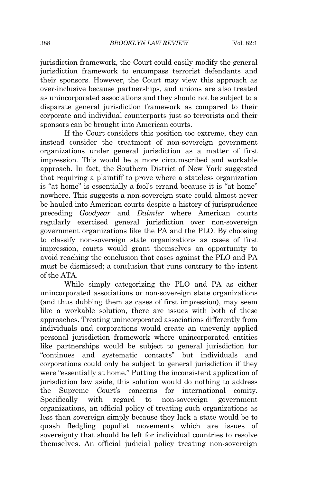jurisdiction framework, the Court could easily modify the general jurisdiction framework to encompass terrorist defendants and their sponsors. However, the Court may view this approach as over-inclusive because partnerships, and unions are also treated as unincorporated associations and they should not be subject to a disparate general jurisdiction framework as compared to their corporate and individual counterparts just so terrorists and their sponsors can be brought into American courts.

If the Court considers this position too extreme, they can instead consider the treatment of non-sovereign government organizations under general jurisdiction as a matter of first impression. This would be a more circumscribed and workable approach. In fact, the Southern District of New York suggested that requiring a plaintiff to prove where a stateless organization is "at home" is essentially a fool's errand because it is "at home" nowhere. This suggests a non-sovereign state could almost never be hauled into American courts despite a history of jurisprudence preceding *Goodyear* and *Daimler* where American courts regularly exercised general jurisdiction over non-sovereign government organizations like the PA and the PLO. By choosing to classify non-sovereign state organizations as cases of first impression, courts would grant themselves an opportunity to avoid reaching the conclusion that cases against the PLO and PA must be dismissed; a conclusion that runs contrary to the intent of the ATA.

While simply categorizing the PLO and PA as either unincorporated associations or non-sovereign state organizations (and thus dubbing them as cases of first impression), may seem like a workable solution, there are issues with both of these approaches. Treating unincorporated associations differently from individuals and corporations would create an unevenly applied personal jurisdiction framework where unincorporated entities like partnerships would be subject to general jurisdiction for "continues and systematic contacts" but individuals and corporations could only be subject to general jurisdiction if they were "essentially at home." Putting the inconsistent application of jurisdiction law aside, this solution would do nothing to address the Supreme Court's concerns for international comity. Specifically with regard to non-sovereign government organizations, an official policy of treating such organizations as less than sovereign simply because they lack a state would be to quash fledgling populist movements which are issues of sovereignty that should be left for individual countries to resolve themselves. An official judicial policy treating non-sovereign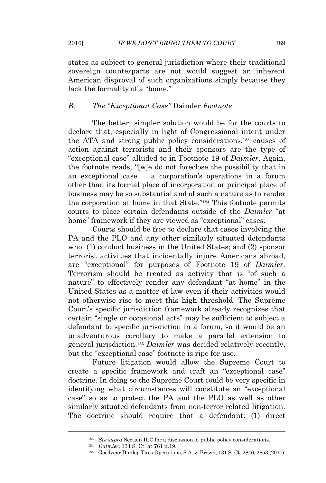states as subject to general jurisdiction where their traditional sovereign counterparts are not would suggest an inherent American disproval of such organizations simply because they lack the formality of a "home."

#### *B. The "Exceptional Case"* Daimler *Footnote*

The better, simpler solution would be for the courts to declare that, especially in light of Congressional intent under the ATA and strong public policy considerations,<sup>183</sup> causes of action against terrorists and their sponsors are the type of "exceptional case" alluded to in Footnote 19 of *Daimler*. Again, the footnote reads, "[w]e do not foreclose the possibility that in an exceptional case . . . a corporation's operations in a forum other than its formal place of incorporation or principal place of business may be so substantial and of such a nature as to render the corporation at home in that State." <sup>184</sup> This footnote permits courts to place certain defendants outside of the *Daimler* "at home" framework if they are viewed as "exceptional" cases.

Courts should be free to declare that cases involving the PA and the PLO and any other similarly situated defendants who: (1) conduct business in the United States; and (2) sponsor terrorist activities that incidentally injure Americans abroad, are "exceptional" for purposes of Footnote 19 of *Daimler.* Terrorism should be treated as activity that is "of such a nature" to effectively render any defendant "at home" in the United States as a matter of law even if their activities would not otherwise rise to meet this high threshold. The Supreme Court's specific jurisdiction framework already recognizes that certain "single or occasional acts" may be sufficient to subject a defendant to specific jurisdiction in a forum, so it would be an unadventurous corollary to make a parallel extension to general jurisdiction.<sup>185</sup> *Daimler* was decided relatively recently, but the "exceptional case" footnote is ripe for use.

Future litigation would allow the Supreme Court to create a specific framework and craft an "exceptional case" doctrine. In doing so the Supreme Court could be very specific in identifying what circumstances will constitute an "exceptional case" so as to protect the PA and the PLO as well as other similarly situated defendants from non-terror related litigation. The doctrine should require that a defendant: (1) direct

<sup>183</sup> *See supra* Section II.C for a discussion of public policy considerations.

<sup>184</sup> *Daimler*, 134 S. Ct. at 761 n.19.

<sup>185</sup> Goodyear Dunlop Tires Operations, S.A. v. Brown, 131 S. Ct. 2846, 2853 (2011).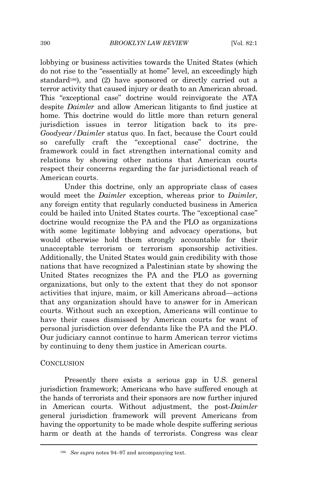lobbying or business activities towards the United States (which do not rise to the "essentially at home" level, an exceedingly high standard<sup>186</sup>), and (2) have sponsored or directly carried out a terror activity that caused injury or death to an American abroad. This "exceptional case" doctrine would reinvigorate the ATA despite *Daimler* and allow American litigants to find justice at home. This doctrine would do little more than return general jurisdiction issues in terror litigation back to its pre-*Goodyear/Daimler* status quo. In fact, because the Court could so carefully craft the "exceptional case" doctrine, the framework could in fact strengthen international comity and relations by showing other nations that American courts respect their concerns regarding the far jurisdictional reach of American courts.

Under this doctrine, only an appropriate class of cases would meet the *Daimler* exception, whereas prior to *Daimler*, any foreign entity that regularly conducted business in America could be hailed into United States courts. The "exceptional case" doctrine would recognize the PA and the PLO as organizations with some legitimate lobbying and advocacy operations, but would otherwise hold them strongly accountable for their unacceptable terrorism or terrorism sponsorship activities. Additionally, the United States would gain credibility with those nations that have recognized a Palestinian state by showing the United States recognizes the PA and the PLO as governing organizations, but only to the extent that they do not sponsor activities that injure, maim, or kill Americans abroad—actions that any organization should have to answer for in American courts. Without such an exception, Americans will continue to have their cases dismissed by American courts for want of personal jurisdiction over defendants like the PA and the PLO. Our judiciary cannot continue to harm American terror victims by continuing to deny them justice in American courts.

#### **CONCLUSION**

Presently there exists a serious gap in U.S. general jurisdiction framework; Americans who have suffered enough at the hands of terrorists and their sponsors are now further injured in American courts. Without adjustment, the post-*Daimler* general jurisdiction framework will prevent Americans from having the opportunity to be made whole despite suffering serious harm or death at the hands of terrorists. Congress was clear

<sup>186</sup> *See supra* notes 94–97 and accompanying text.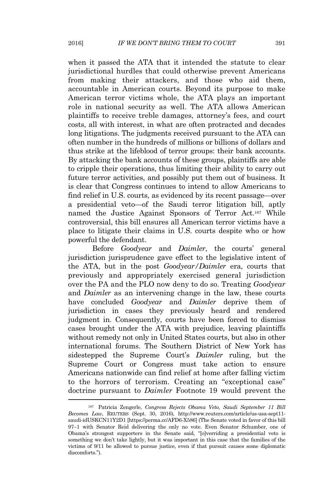when it passed the ATA that it intended the statute to clear jurisdictional hurdles that could otherwise prevent Americans from making their attackers, and those who aid them, accountable in American courts. Beyond its purpose to make American terror victims whole, the ATA plays an important role in national security as well. The ATA allows American plaintiffs to receive treble damages, attorney's fees, and court costs, all with interest, in what are often protracted and decades long litigations. The judgments received pursuant to the ATA can often number in the hundreds of millions or billions of dollars and thus strike at the lifeblood of terror groups: their bank accounts. By attacking the bank accounts of these groups, plaintiffs are able to cripple their operations, thus limiting their ability to carry out future terror activities, and possibly put them out of business. It is clear that Congress continues to intend to allow Americans to find relief in U.S. courts, as evidenced by its recent passage—over a presidential veto—of the Saudi terror litigation bill, aptly named the Justice Against Sponsors of Terror Act.<sup>187</sup> While controversial, this bill ensures all American terror victims have a place to litigate their claims in U.S. courts despite who or how powerful the defendant.

Before *Goodyear* and *Daimler*, the courts' general jurisdiction jurisprudence gave effect to the legislative intent of the ATA, but in the post *Goodyear/Daimler* era, courts that previously and appropriately exercised general jurisdiction over the PA and the PLO now deny to do so. Treating *Goodyear* and *Daimler* as an intervening change in the law, these courts have concluded *Goodyear* and *Daimler* deprive them of jurisdiction in cases they previously heard and rendered judgment in. Consequently, courts have been forced to dismiss cases brought under the ATA with prejudice, leaving plaintiffs without remedy not only in United States courts, but also in other international forums. The Southern District of New York has sidestepped the Supreme Court's *Daimler* ruling, but the Supreme Court or Congress must take action to ensure Americans nationwide can find relief at home after falling victim to the horrors of terrorism. Creating an "exceptional case" doctrine pursuant to *Daimler* Footnote 19 would prevent the

<sup>187</sup> Patricia Zengerle, *Congress Rejects Obama Veto, Saudi September 11 Bill Becomes Law*, REUTERS (Sept. 30, 2016), http://www.reuters.com/article/us-usa-sept11 saudi-idUSKCN11Y2D1 [https://perma.cc/AFD6-X586] (The Senate voted in favor of this bill 97–1 with Senator Reid delivering the only no vote. Even Senator Schumber, one of Obama's strongest supporters in the Senate said, "[o]verriding a presidential veto is something we don't take lightly, but it was important in this case that the families of the victims of 9/11 be allowed to pursue justice, even if that pursuit causes some diplomatic discomforts.").